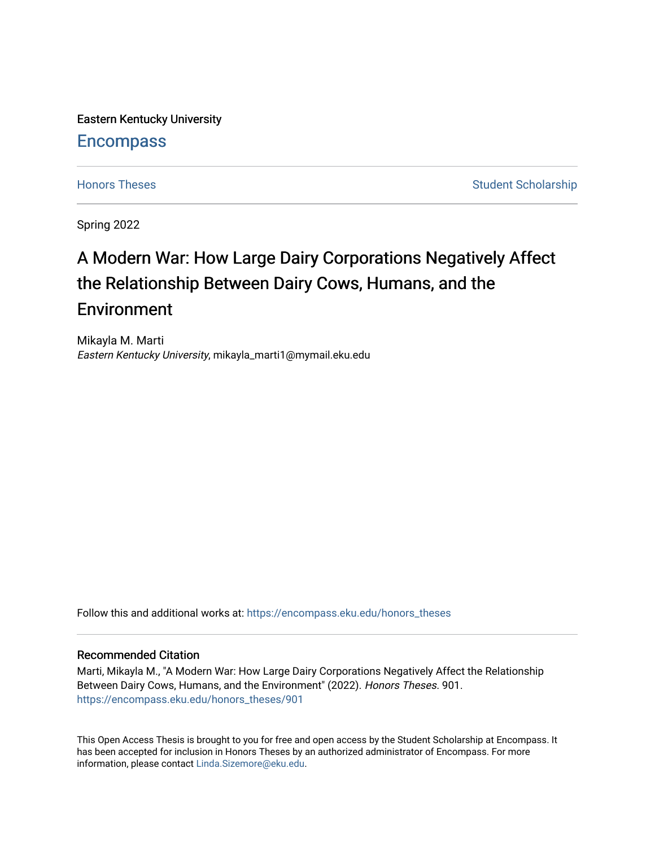Eastern Kentucky University

# **Encompass**

[Honors Theses](https://encompass.eku.edu/honors_theses) **Student Scholarship** Student Scholarship

Spring 2022

# A Modern War: How Large Dairy Corporations Negatively Affect the Relationship Between Dairy Cows, Humans, and the **Environment**

Mikayla M. Marti Eastern Kentucky University, mikayla\_marti1@mymail.eku.edu

Follow this and additional works at: [https://encompass.eku.edu/honors\\_theses](https://encompass.eku.edu/honors_theses?utm_source=encompass.eku.edu%2Fhonors_theses%2F901&utm_medium=PDF&utm_campaign=PDFCoverPages) 

# Recommended Citation

Marti, Mikayla M., "A Modern War: How Large Dairy Corporations Negatively Affect the Relationship Between Dairy Cows, Humans, and the Environment" (2022). Honors Theses. 901. [https://encompass.eku.edu/honors\\_theses/901](https://encompass.eku.edu/honors_theses/901?utm_source=encompass.eku.edu%2Fhonors_theses%2F901&utm_medium=PDF&utm_campaign=PDFCoverPages) 

This Open Access Thesis is brought to you for free and open access by the Student Scholarship at Encompass. It has been accepted for inclusion in Honors Theses by an authorized administrator of Encompass. For more information, please contact [Linda.Sizemore@eku.edu.](mailto:Linda.Sizemore@eku.edu)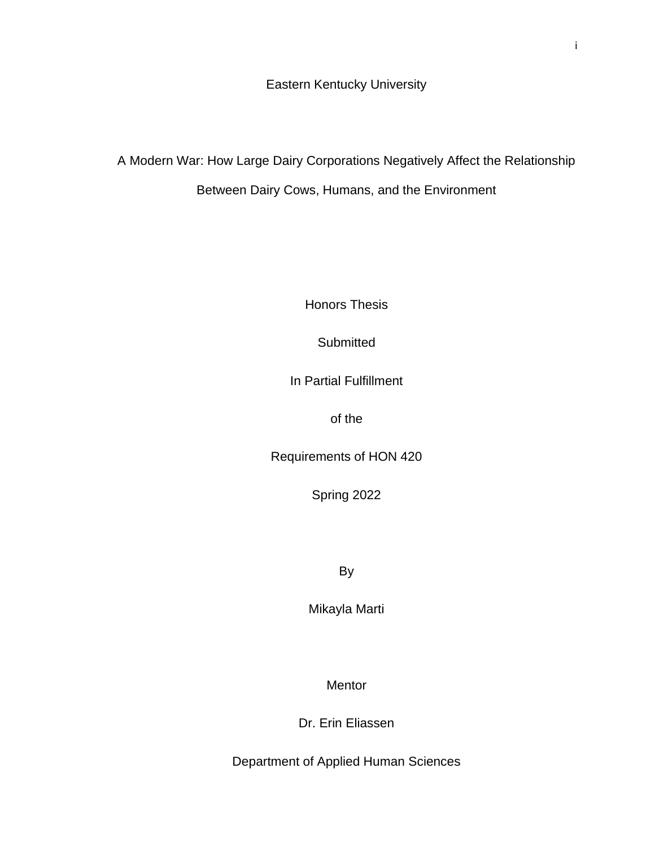Eastern Kentucky University

A Modern War: How Large Dairy Corporations Negatively Affect the Relationship Between Dairy Cows, Humans, and the Environment

Honors Thesis

**Submitted** 

In Partial Fulfillment

of the

Requirements of HON 420

Spring 2022

By

Mikayla Marti

Mentor

Dr. Erin Eliassen

Department of Applied Human Sciences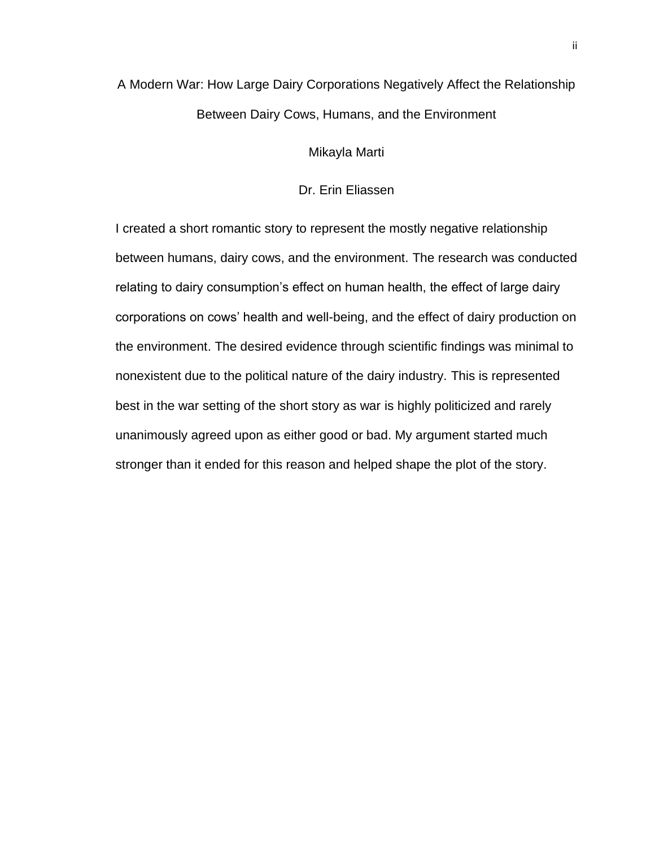# A Modern War: How Large Dairy Corporations Negatively Affect the Relationship Between Dairy Cows, Humans, and the Environment

Mikayla Marti

Dr. Erin Eliassen

I created a short romantic story to represent the mostly negative relationship between humans, dairy cows, and the environment. The research was conducted relating to dairy consumption's effect on human health, the effect of large dairy corporations on cows' health and well-being, and the effect of dairy production on the environment. The desired evidence through scientific findings was minimal to nonexistent due to the political nature of the dairy industry. This is represented best in the war setting of the short story as war is highly politicized and rarely unanimously agreed upon as either good or bad. My argument started much stronger than it ended for this reason and helped shape the plot of the story.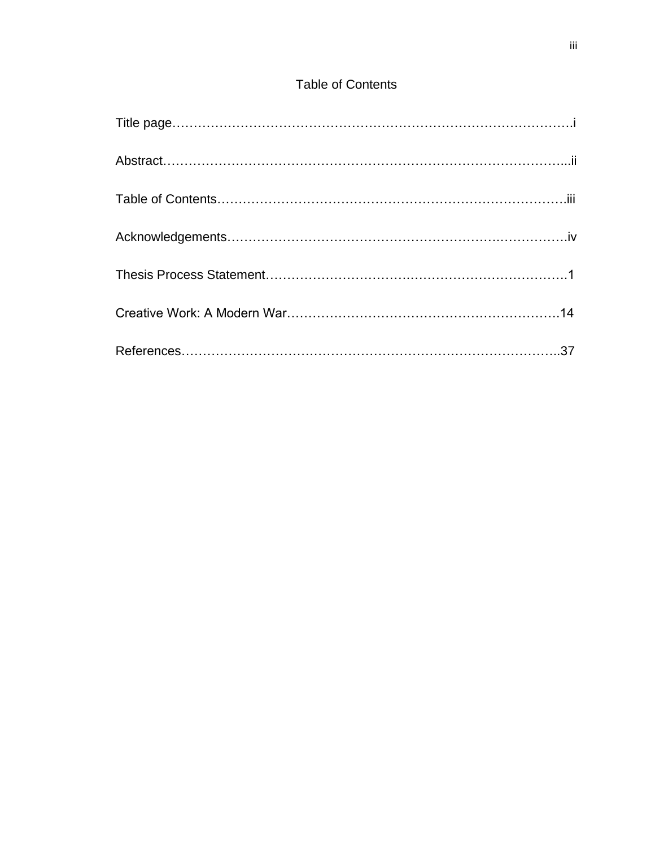# Table of Contents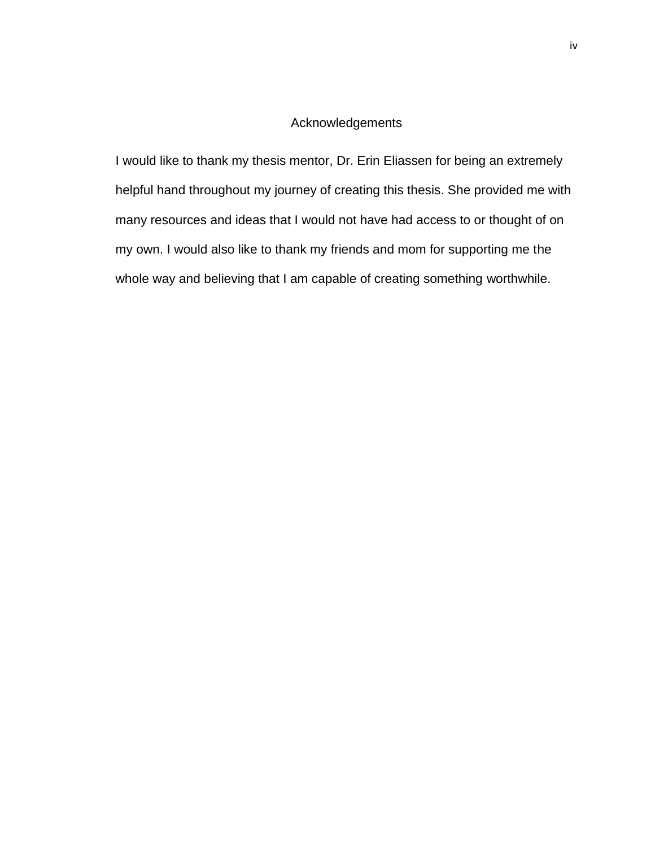# Acknowledgements

I would like to thank my thesis mentor, Dr. Erin Eliassen for being an extremely helpful hand throughout my journey of creating this thesis. She provided me with many resources and ideas that I would not have had access to or thought of on my own. I would also like to thank my friends and mom for supporting me the whole way and believing that I am capable of creating something worthwhile.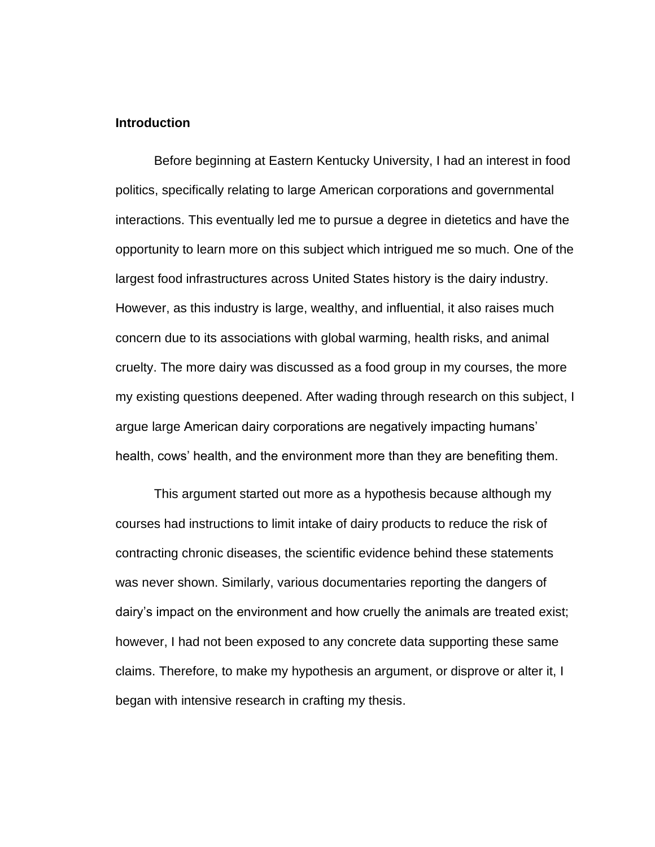# **Introduction**

Before beginning at Eastern Kentucky University, I had an interest in food politics, specifically relating to large American corporations and governmental interactions. This eventually led me to pursue a degree in dietetics and have the opportunity to learn more on this subject which intrigued me so much. One of the largest food infrastructures across United States history is the dairy industry. However, as this industry is large, wealthy, and influential, it also raises much concern due to its associations with global warming, health risks, and animal cruelty. The more dairy was discussed as a food group in my courses, the more my existing questions deepened. After wading through research on this subject, I argue large American dairy corporations are negatively impacting humans' health, cows' health, and the environment more than they are benefiting them.

This argument started out more as a hypothesis because although my courses had instructions to limit intake of dairy products to reduce the risk of contracting chronic diseases, the scientific evidence behind these statements was never shown. Similarly, various documentaries reporting the dangers of dairy's impact on the environment and how cruelly the animals are treated exist; however, I had not been exposed to any concrete data supporting these same claims. Therefore, to make my hypothesis an argument, or disprove or alter it, I began with intensive research in crafting my thesis.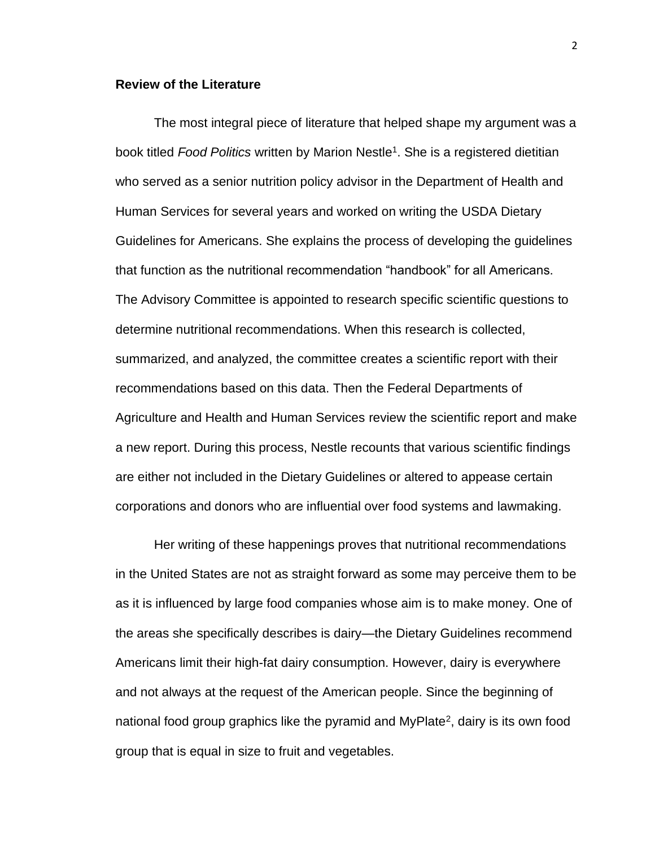# **Review of the Literature**

The most integral piece of literature that helped shape my argument was a book titled *Food Politics* written by Marion Nestle<sup>1</sup> . She is a registered dietitian who served as a senior nutrition policy advisor in the Department of Health and Human Services for several years and worked on writing the USDA Dietary Guidelines for Americans. She explains the process of developing the guidelines that function as the nutritional recommendation "handbook" for all Americans. The Advisory Committee is appointed to research specific scientific questions to determine nutritional recommendations. When this research is collected, summarized, and analyzed, the committee creates a scientific report with their recommendations based on this data. Then the Federal Departments of Agriculture and Health and Human Services review the scientific report and make a new report. During this process, Nestle recounts that various scientific findings are either not included in the Dietary Guidelines or altered to appease certain corporations and donors who are influential over food systems and lawmaking.

Her writing of these happenings proves that nutritional recommendations in the United States are not as straight forward as some may perceive them to be as it is influenced by large food companies whose aim is to make money. One of the areas she specifically describes is dairy—the Dietary Guidelines recommend Americans limit their high-fat dairy consumption. However, dairy is everywhere and not always at the request of the American people. Since the beginning of national food group graphics like the pyramid and MyPlate<sup>2</sup>, dairy is its own food group that is equal in size to fruit and vegetables.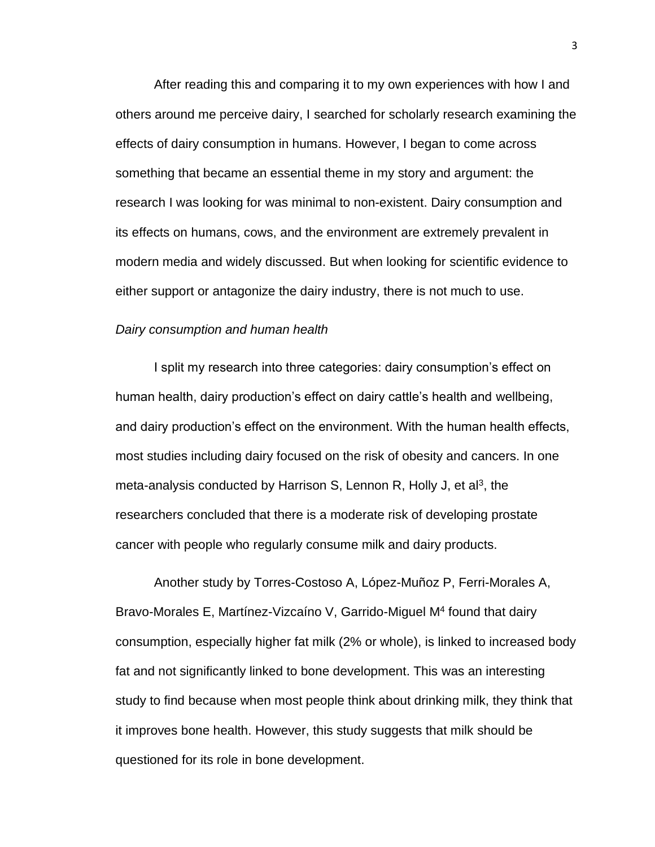After reading this and comparing it to my own experiences with how I and others around me perceive dairy, I searched for scholarly research examining the effects of dairy consumption in humans. However, I began to come across something that became an essential theme in my story and argument: the research I was looking for was minimal to non-existent. Dairy consumption and its effects on humans, cows, and the environment are extremely prevalent in modern media and widely discussed. But when looking for scientific evidence to either support or antagonize the dairy industry, there is not much to use.

## *Dairy consumption and human health*

I split my research into three categories: dairy consumption's effect on human health, dairy production's effect on dairy cattle's health and wellbeing, and dairy production's effect on the environment. With the human health effects, most studies including dairy focused on the risk of obesity and cancers. In one meta-analysis conducted by Harrison S, Lennon R, Holly J, et al<sup>3</sup>, the researchers concluded that there is a moderate risk of developing prostate cancer with people who regularly consume milk and dairy products.

Another study by Torres-Costoso A, López-Muñoz P, Ferri-Morales A, Bravo-Morales E, Martínez-Vizcaíno V, Garrido-Miguel M<sup>4</sup> found that dairy consumption, especially higher fat milk (2% or whole), is linked to increased body fat and not significantly linked to bone development. This was an interesting study to find because when most people think about drinking milk, they think that it improves bone health. However, this study suggests that milk should be questioned for its role in bone development.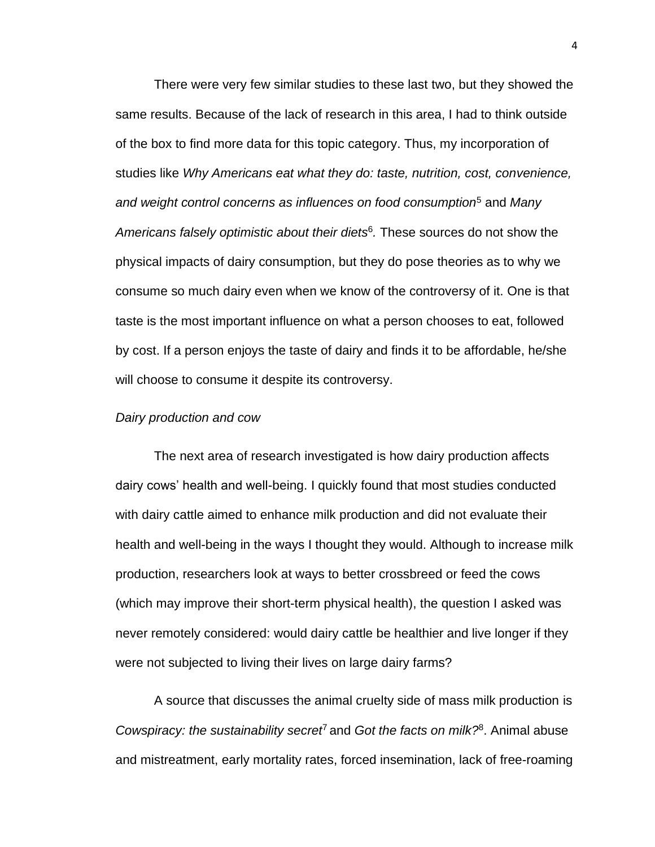There were very few similar studies to these last two, but they showed the same results. Because of the lack of research in this area, I had to think outside of the box to find more data for this topic category. Thus, my incorporation of studies like *Why Americans eat what they do: taste, nutrition, cost, convenience, and weight control concerns as influences on food consumption*<sup>5</sup> and *Many Americans falsely optimistic about their diets*<sup>6</sup> *.* These sources do not show the physical impacts of dairy consumption, but they do pose theories as to why we consume so much dairy even when we know of the controversy of it. One is that taste is the most important influence on what a person chooses to eat, followed by cost. If a person enjoys the taste of dairy and finds it to be affordable, he/she will choose to consume it despite its controversy.

#### *Dairy production and cow*

The next area of research investigated is how dairy production affects dairy cows' health and well-being. I quickly found that most studies conducted with dairy cattle aimed to enhance milk production and did not evaluate their health and well-being in the ways I thought they would. Although to increase milk production, researchers look at ways to better crossbreed or feed the cows (which may improve their short-term physical health), the question I asked was never remotely considered: would dairy cattle be healthier and live longer if they were not subjected to living their lives on large dairy farms?

A source that discusses the animal cruelty side of mass milk production is Cowspiracy: the sustainability secret<sup>7</sup> and Got the facts on milk?<sup>8</sup>. Animal abuse and mistreatment, early mortality rates, forced insemination, lack of free-roaming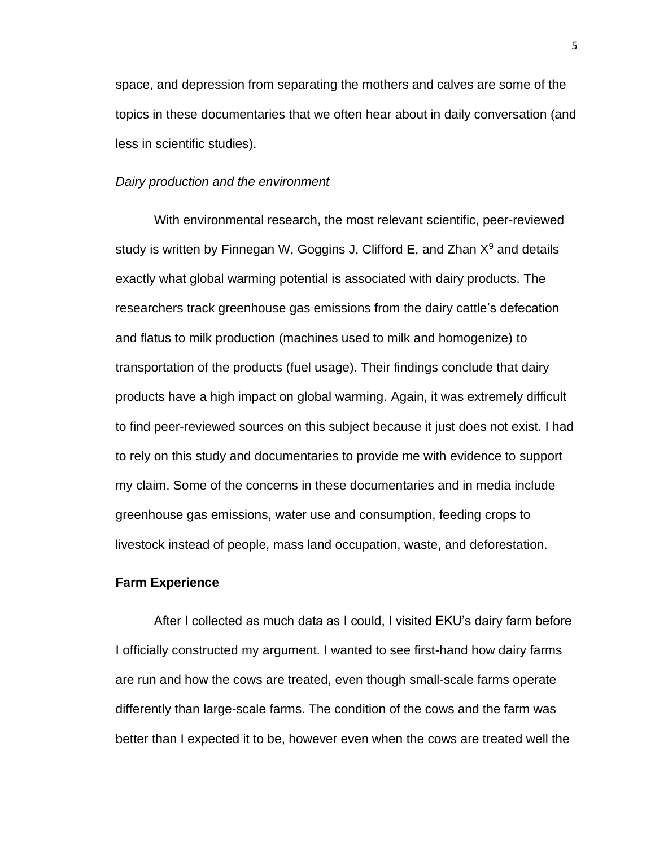space, and depression from separating the mothers and calves are some of the topics in these documentaries that we often hear about in daily conversation (and less in scientific studies).

## *Dairy production and the environment*

With environmental research, the most relevant scientific, peer-reviewed study is written by Finnegan W, Goggins J, Clifford E, and Zhan  $X<sup>9</sup>$  and details exactly what global warming potential is associated with dairy products. The researchers track greenhouse gas emissions from the dairy cattle's defecation and flatus to milk production (machines used to milk and homogenize) to transportation of the products (fuel usage). Their findings conclude that dairy products have a high impact on global warming. Again, it was extremely difficult to find peer-reviewed sources on this subject because it just does not exist. I had to rely on this study and documentaries to provide me with evidence to support my claim. Some of the concerns in these documentaries and in media include greenhouse gas emissions, water use and consumption, feeding crops to livestock instead of people, mass land occupation, waste, and deforestation.

#### **Farm Experience**

After I collected as much data as I could, I visited EKU's dairy farm before I officially constructed my argument. I wanted to see first-hand how dairy farms are run and how the cows are treated, even though small-scale farms operate differently than large-scale farms. The condition of the cows and the farm was better than I expected it to be, however even when the cows are treated well the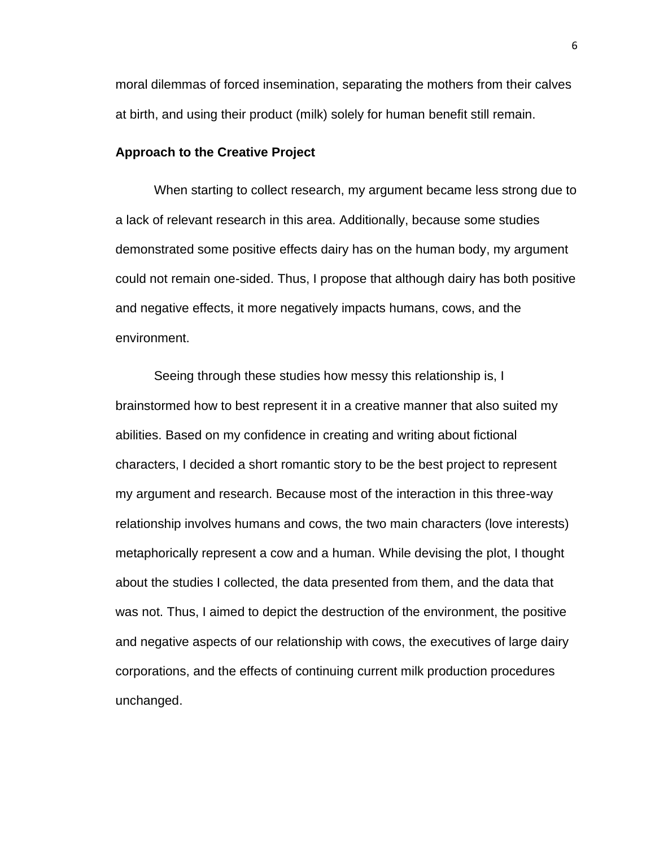moral dilemmas of forced insemination, separating the mothers from their calves at birth, and using their product (milk) solely for human benefit still remain.

# **Approach to the Creative Project**

When starting to collect research, my argument became less strong due to a lack of relevant research in this area. Additionally, because some studies demonstrated some positive effects dairy has on the human body, my argument could not remain one-sided. Thus, I propose that although dairy has both positive and negative effects, it more negatively impacts humans, cows, and the environment.

Seeing through these studies how messy this relationship is, I brainstormed how to best represent it in a creative manner that also suited my abilities. Based on my confidence in creating and writing about fictional characters, I decided a short romantic story to be the best project to represent my argument and research. Because most of the interaction in this three-way relationship involves humans and cows, the two main characters (love interests) metaphorically represent a cow and a human. While devising the plot, I thought about the studies I collected, the data presented from them, and the data that was not. Thus, I aimed to depict the destruction of the environment, the positive and negative aspects of our relationship with cows, the executives of large dairy corporations, and the effects of continuing current milk production procedures unchanged.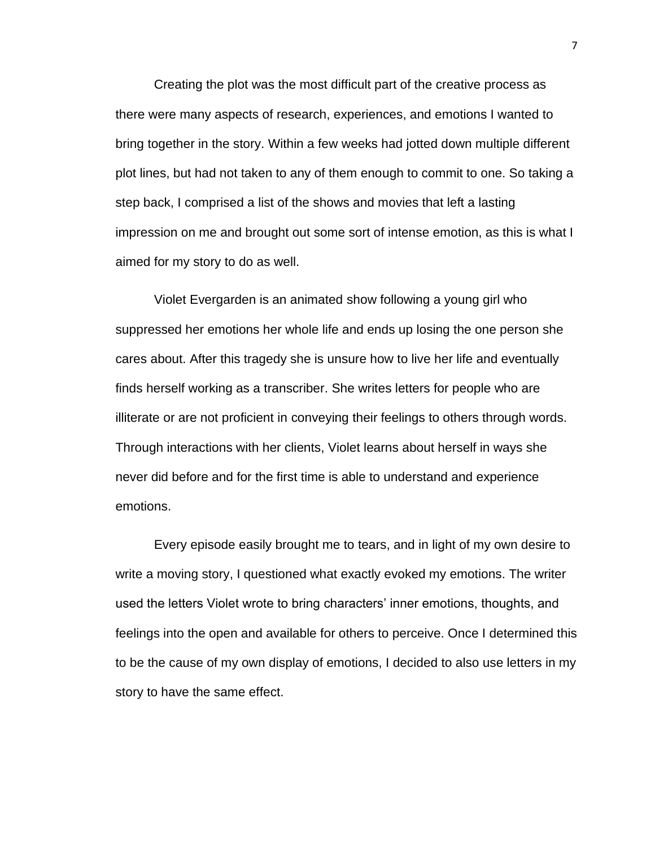Creating the plot was the most difficult part of the creative process as there were many aspects of research, experiences, and emotions I wanted to bring together in the story. Within a few weeks had jotted down multiple different plot lines, but had not taken to any of them enough to commit to one. So taking a step back, I comprised a list of the shows and movies that left a lasting impression on me and brought out some sort of intense emotion, as this is what I aimed for my story to do as well.

Violet Evergarden is an animated show following a young girl who suppressed her emotions her whole life and ends up losing the one person she cares about. After this tragedy she is unsure how to live her life and eventually finds herself working as a transcriber. She writes letters for people who are illiterate or are not proficient in conveying their feelings to others through words. Through interactions with her clients, Violet learns about herself in ways she never did before and for the first time is able to understand and experience emotions.

Every episode easily brought me to tears, and in light of my own desire to write a moving story, I questioned what exactly evoked my emotions. The writer used the letters Violet wrote to bring characters' inner emotions, thoughts, and feelings into the open and available for others to perceive. Once I determined this to be the cause of my own display of emotions, I decided to also use letters in my story to have the same effect.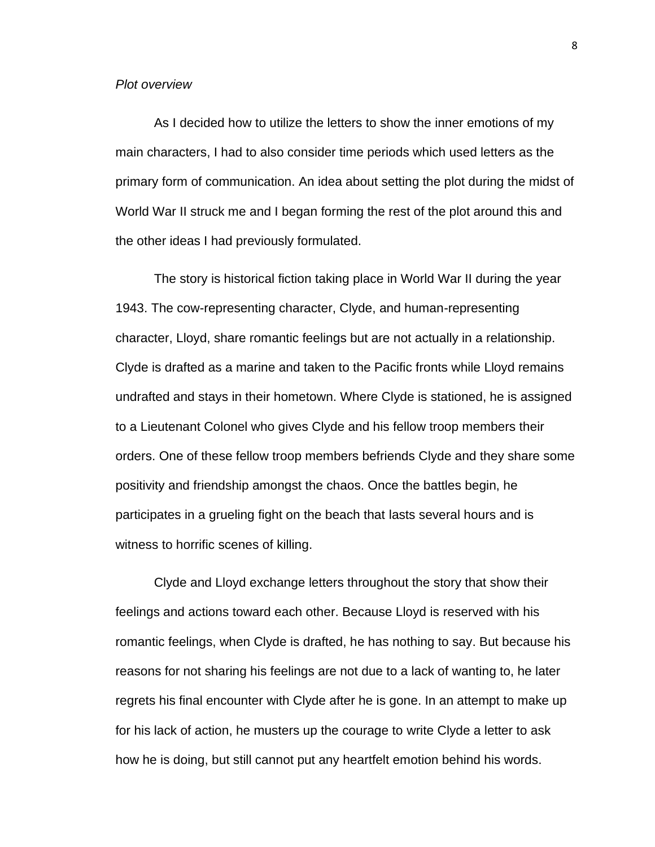#### *Plot overview*

As I decided how to utilize the letters to show the inner emotions of my main characters, I had to also consider time periods which used letters as the primary form of communication. An idea about setting the plot during the midst of World War II struck me and I began forming the rest of the plot around this and the other ideas I had previously formulated.

The story is historical fiction taking place in World War II during the year 1943. The cow-representing character, Clyde, and human-representing character, Lloyd, share romantic feelings but are not actually in a relationship. Clyde is drafted as a marine and taken to the Pacific fronts while Lloyd remains undrafted and stays in their hometown. Where Clyde is stationed, he is assigned to a Lieutenant Colonel who gives Clyde and his fellow troop members their orders. One of these fellow troop members befriends Clyde and they share some positivity and friendship amongst the chaos. Once the battles begin, he participates in a grueling fight on the beach that lasts several hours and is witness to horrific scenes of killing.

Clyde and Lloyd exchange letters throughout the story that show their feelings and actions toward each other. Because Lloyd is reserved with his romantic feelings, when Clyde is drafted, he has nothing to say. But because his reasons for not sharing his feelings are not due to a lack of wanting to, he later regrets his final encounter with Clyde after he is gone. In an attempt to make up for his lack of action, he musters up the courage to write Clyde a letter to ask how he is doing, but still cannot put any heartfelt emotion behind his words.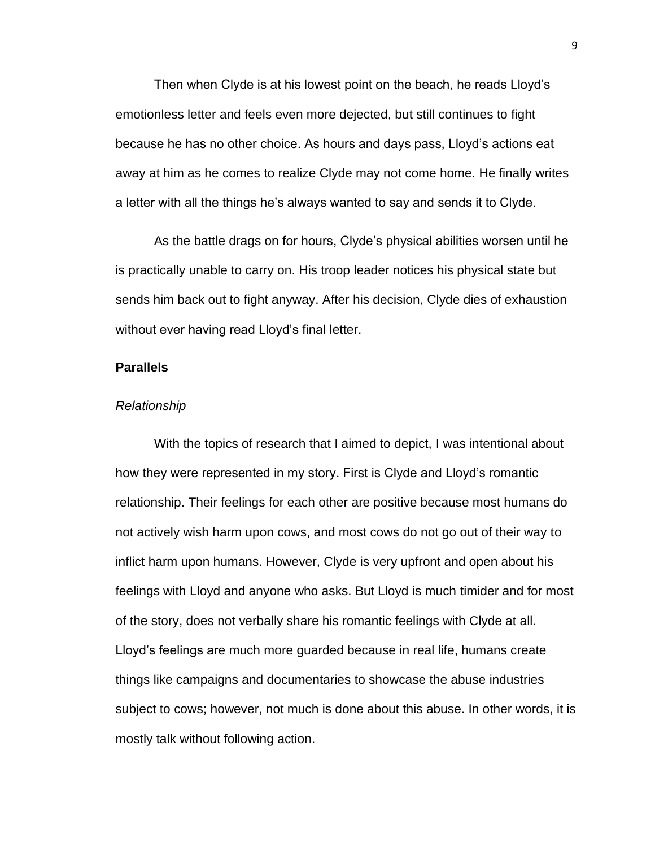Then when Clyde is at his lowest point on the beach, he reads Lloyd's emotionless letter and feels even more dejected, but still continues to fight because he has no other choice. As hours and days pass, Lloyd's actions eat away at him as he comes to realize Clyde may not come home. He finally writes a letter with all the things he's always wanted to say and sends it to Clyde.

As the battle drags on for hours, Clyde's physical abilities worsen until he is practically unable to carry on. His troop leader notices his physical state but sends him back out to fight anyway. After his decision, Clyde dies of exhaustion without ever having read Lloyd's final letter.

# **Parallels**

#### *Relationship*

With the topics of research that I aimed to depict, I was intentional about how they were represented in my story. First is Clyde and Lloyd's romantic relationship. Their feelings for each other are positive because most humans do not actively wish harm upon cows, and most cows do not go out of their way to inflict harm upon humans. However, Clyde is very upfront and open about his feelings with Lloyd and anyone who asks. But Lloyd is much timider and for most of the story, does not verbally share his romantic feelings with Clyde at all. Lloyd's feelings are much more guarded because in real life, humans create things like campaigns and documentaries to showcase the abuse industries subject to cows; however, not much is done about this abuse. In other words, it is mostly talk without following action.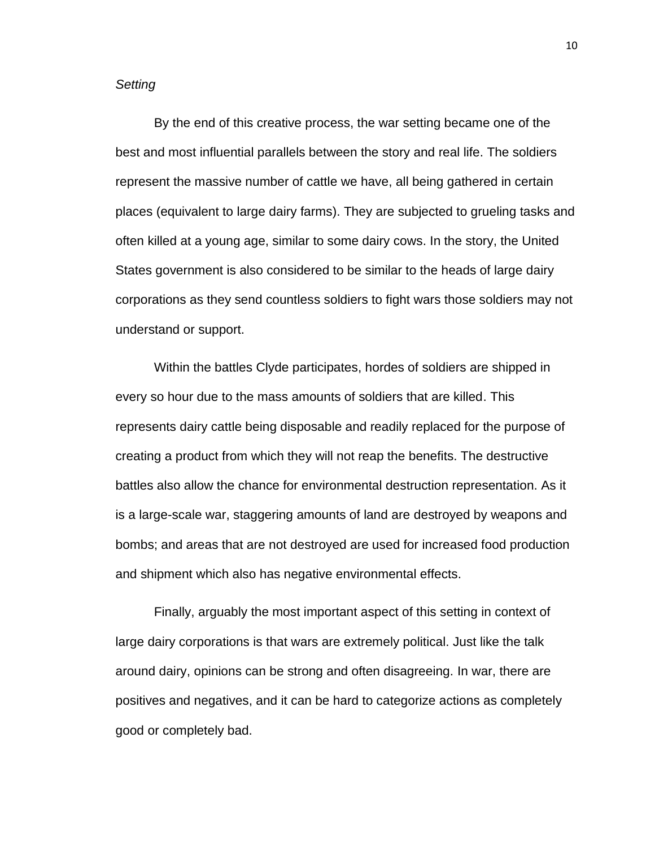# *Setting*

By the end of this creative process, the war setting became one of the best and most influential parallels between the story and real life. The soldiers represent the massive number of cattle we have, all being gathered in certain places (equivalent to large dairy farms). They are subjected to grueling tasks and often killed at a young age, similar to some dairy cows. In the story, the United States government is also considered to be similar to the heads of large dairy corporations as they send countless soldiers to fight wars those soldiers may not understand or support.

Within the battles Clyde participates, hordes of soldiers are shipped in every so hour due to the mass amounts of soldiers that are killed. This represents dairy cattle being disposable and readily replaced for the purpose of creating a product from which they will not reap the benefits. The destructive battles also allow the chance for environmental destruction representation. As it is a large-scale war, staggering amounts of land are destroyed by weapons and bombs; and areas that are not destroyed are used for increased food production and shipment which also has negative environmental effects.

Finally, arguably the most important aspect of this setting in context of large dairy corporations is that wars are extremely political. Just like the talk around dairy, opinions can be strong and often disagreeing. In war, there are positives and negatives, and it can be hard to categorize actions as completely good or completely bad.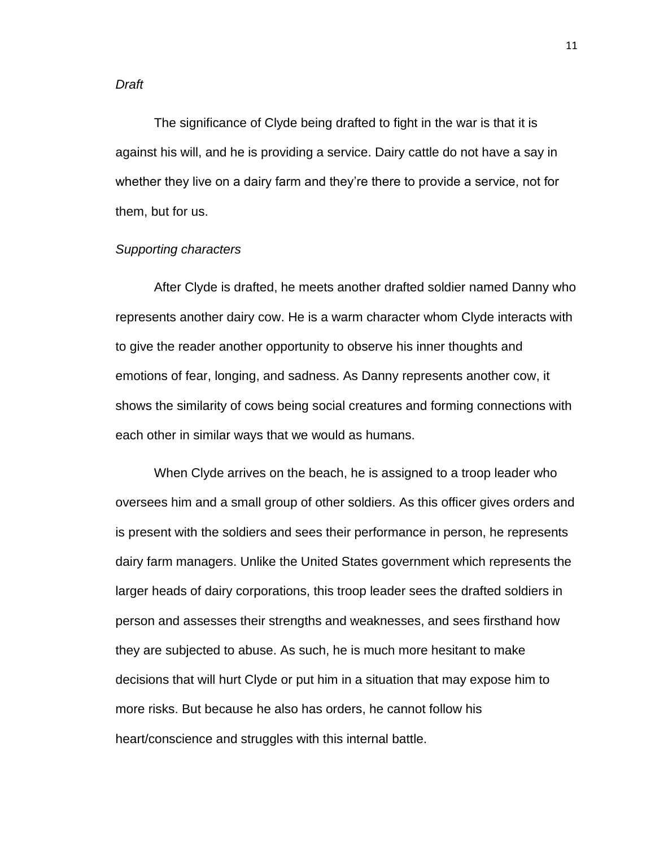#### *Draft*

The significance of Clyde being drafted to fight in the war is that it is against his will, and he is providing a service. Dairy cattle do not have a say in whether they live on a dairy farm and they're there to provide a service, not for them, but for us.

# *Supporting characters*

After Clyde is drafted, he meets another drafted soldier named Danny who represents another dairy cow. He is a warm character whom Clyde interacts with to give the reader another opportunity to observe his inner thoughts and emotions of fear, longing, and sadness. As Danny represents another cow, it shows the similarity of cows being social creatures and forming connections with each other in similar ways that we would as humans.

When Clyde arrives on the beach, he is assigned to a troop leader who oversees him and a small group of other soldiers. As this officer gives orders and is present with the soldiers and sees their performance in person, he represents dairy farm managers. Unlike the United States government which represents the larger heads of dairy corporations, this troop leader sees the drafted soldiers in person and assesses their strengths and weaknesses, and sees firsthand how they are subjected to abuse. As such, he is much more hesitant to make decisions that will hurt Clyde or put him in a situation that may expose him to more risks. But because he also has orders, he cannot follow his heart/conscience and struggles with this internal battle.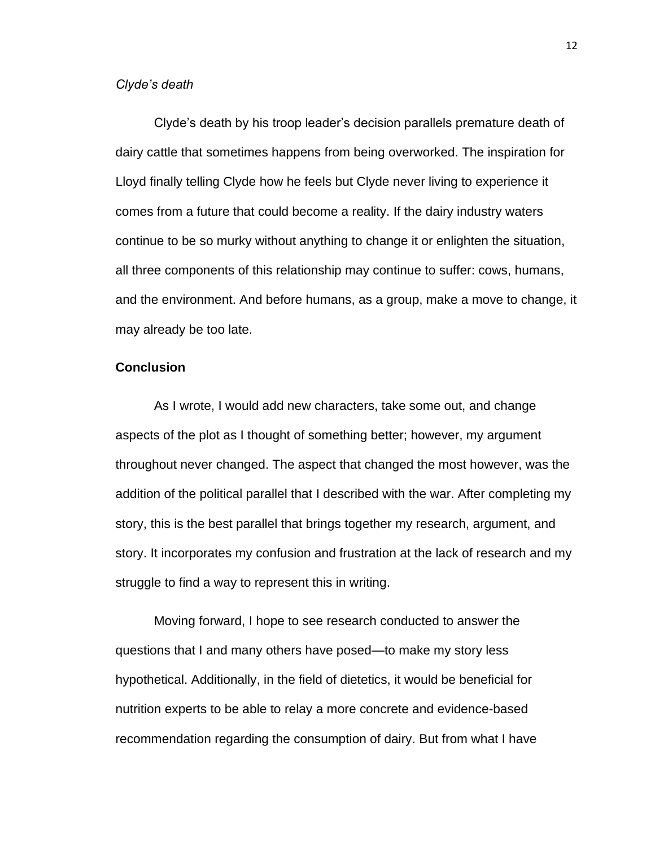# *Clyde's death*

Clyde's death by his troop leader's decision parallels premature death of dairy cattle that sometimes happens from being overworked. The inspiration for Lloyd finally telling Clyde how he feels but Clyde never living to experience it comes from a future that could become a reality. If the dairy industry waters continue to be so murky without anything to change it or enlighten the situation, all three components of this relationship may continue to suffer: cows, humans, and the environment. And before humans, as a group, make a move to change, it may already be too late.

# **Conclusion**

As I wrote, I would add new characters, take some out, and change aspects of the plot as I thought of something better; however, my argument throughout never changed. The aspect that changed the most however, was the addition of the political parallel that I described with the war. After completing my story, this is the best parallel that brings together my research, argument, and story. It incorporates my confusion and frustration at the lack of research and my struggle to find a way to represent this in writing.

Moving forward, I hope to see research conducted to answer the questions that I and many others have posed—to make my story less hypothetical. Additionally, in the field of dietetics, it would be beneficial for nutrition experts to be able to relay a more concrete and evidence-based recommendation regarding the consumption of dairy. But from what I have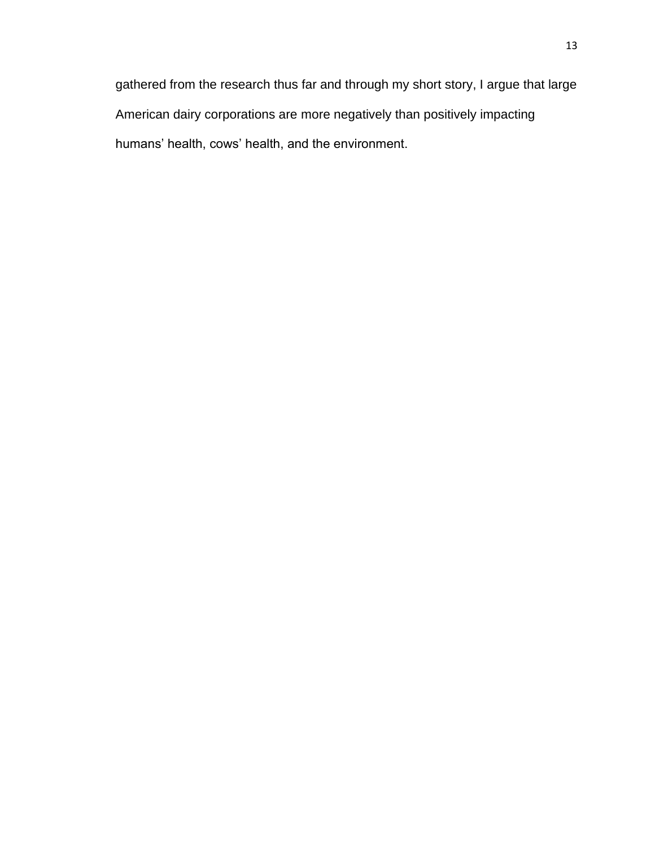gathered from the research thus far and through my short story, I argue that large American dairy corporations are more negatively than positively impacting humans' health, cows' health, and the environment.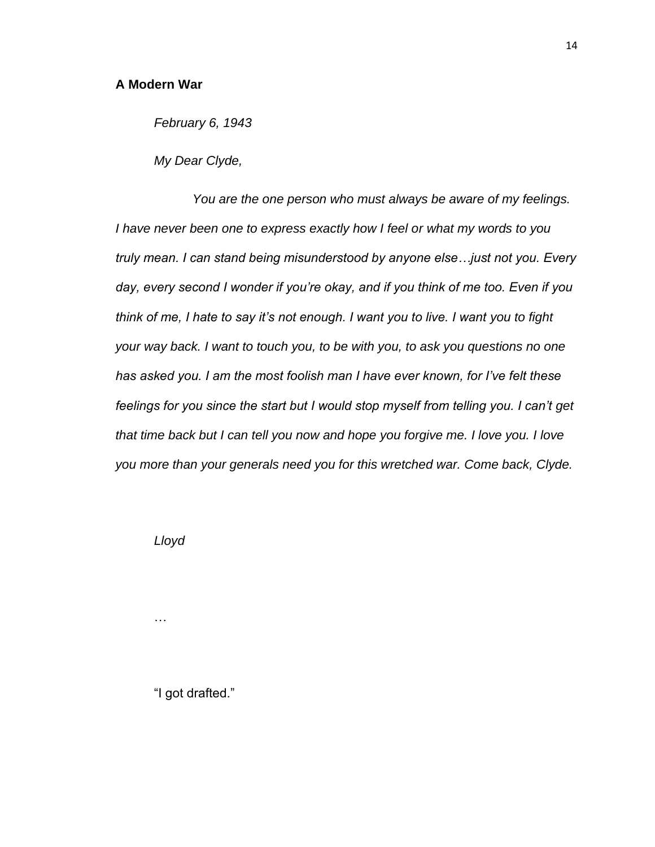*February 6, 1943*

*My Dear Clyde,*

*You are the one person who must always be aware of my feelings. I have never been one to express exactly how I feel or what my words to you truly mean. I can stand being misunderstood by anyone else…just not you. Every day, every second I wonder if you're okay, and if you think of me too. Even if you think of me, I hate to say it's not enough. I want you to live. I want you to fight your way back. I want to touch you, to be with you, to ask you questions no one has asked you. I am the most foolish man I have ever known, for I've felt these feelings for you since the start but I would stop myself from telling you. I can't get that time back but I can tell you now and hope you forgive me. I love you. I love you more than your generals need you for this wretched war. Come back, Clyde.*

*Lloyd*

…

"I got drafted."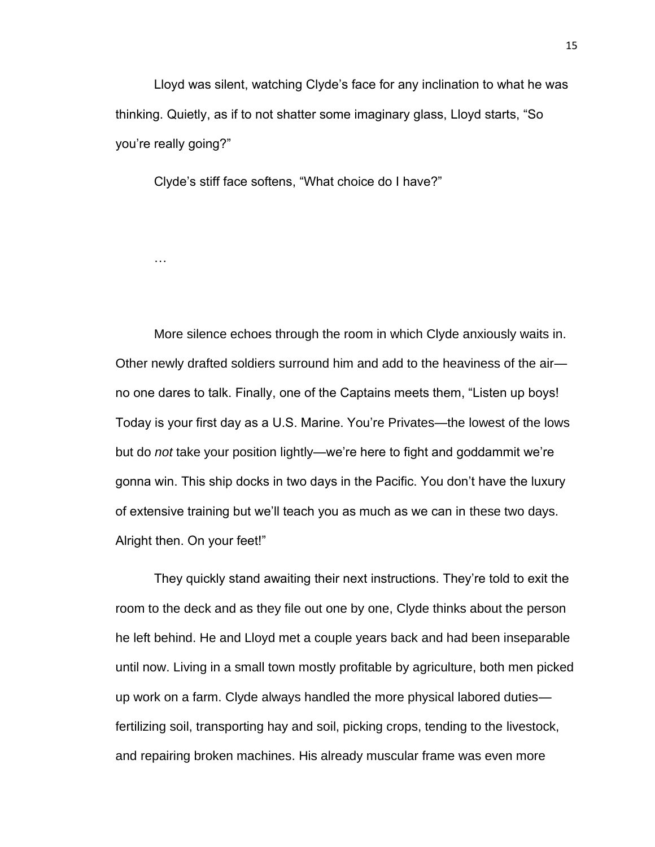Lloyd was silent, watching Clyde's face for any inclination to what he was thinking. Quietly, as if to not shatter some imaginary glass, Lloyd starts, "So you're really going?"

Clyde's stiff face softens, "What choice do I have?"

…

More silence echoes through the room in which Clyde anxiously waits in. Other newly drafted soldiers surround him and add to the heaviness of the air no one dares to talk. Finally, one of the Captains meets them, "Listen up boys! Today is your first day as a U.S. Marine. You're Privates—the lowest of the lows but do *not* take your position lightly—we're here to fight and goddammit we're gonna win. This ship docks in two days in the Pacific. You don't have the luxury of extensive training but we'll teach you as much as we can in these two days. Alright then. On your feet!"

They quickly stand awaiting their next instructions. They're told to exit the room to the deck and as they file out one by one, Clyde thinks about the person he left behind. He and Lloyd met a couple years back and had been inseparable until now. Living in a small town mostly profitable by agriculture, both men picked up work on a farm. Clyde always handled the more physical labored duties fertilizing soil, transporting hay and soil, picking crops, tending to the livestock, and repairing broken machines. His already muscular frame was even more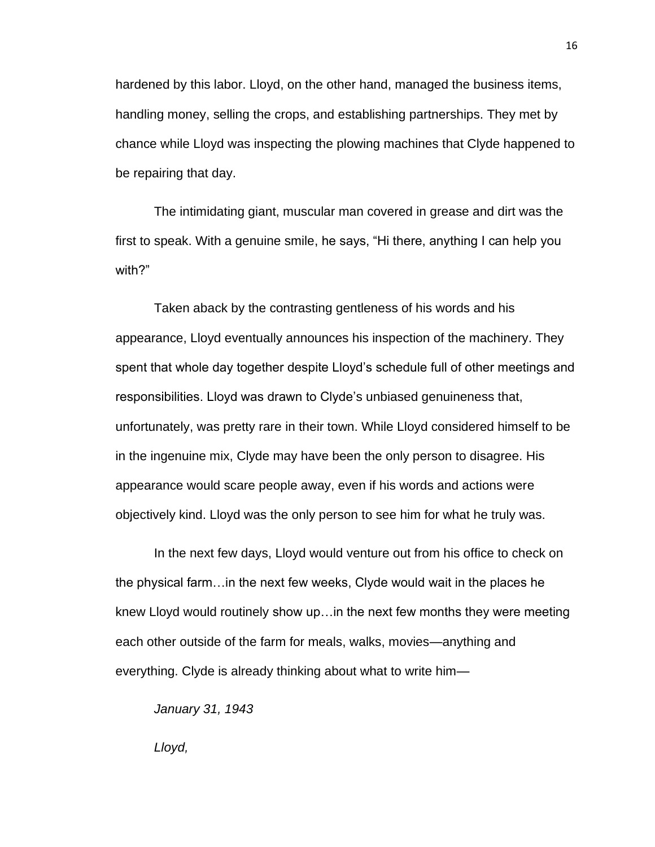hardened by this labor. Lloyd, on the other hand, managed the business items, handling money, selling the crops, and establishing partnerships. They met by chance while Lloyd was inspecting the plowing machines that Clyde happened to be repairing that day.

The intimidating giant, muscular man covered in grease and dirt was the first to speak. With a genuine smile, he says, "Hi there, anything I can help you with?"

Taken aback by the contrasting gentleness of his words and his appearance, Lloyd eventually announces his inspection of the machinery. They spent that whole day together despite Lloyd's schedule full of other meetings and responsibilities. Lloyd was drawn to Clyde's unbiased genuineness that, unfortunately, was pretty rare in their town. While Lloyd considered himself to be in the ingenuine mix, Clyde may have been the only person to disagree. His appearance would scare people away, even if his words and actions were objectively kind. Lloyd was the only person to see him for what he truly was.

In the next few days, Lloyd would venture out from his office to check on the physical farm…in the next few weeks, Clyde would wait in the places he knew Lloyd would routinely show up…in the next few months they were meeting each other outside of the farm for meals, walks, movies—anything and everything. Clyde is already thinking about what to write him—

*January 31, 1943*

*Lloyd,*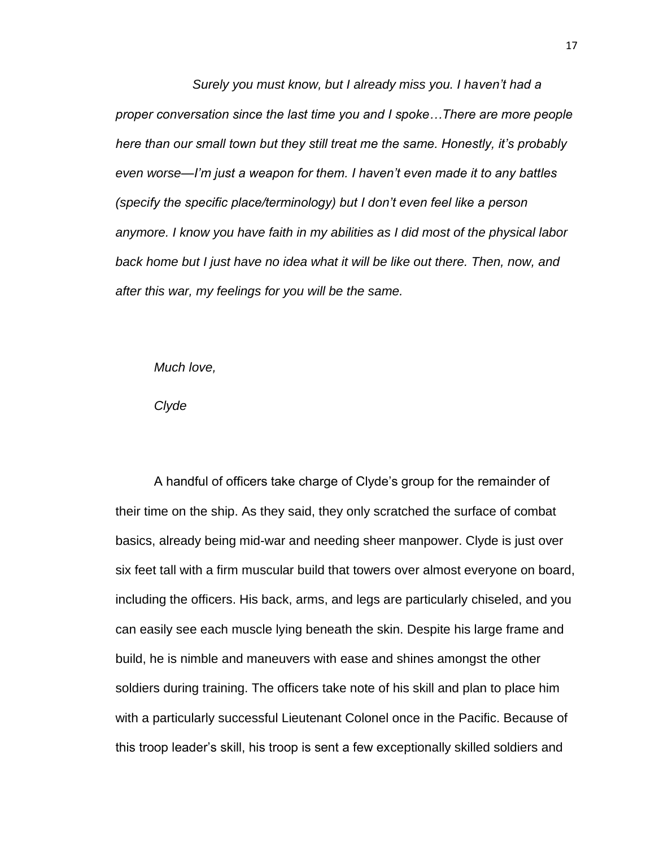*Surely you must know, but I already miss you. I haven't had a proper conversation since the last time you and I spoke…There are more people here than our small town but they still treat me the same. Honestly, it's probably even worse—I'm just a weapon for them. I haven't even made it to any battles (specify the specific place/terminology) but I don't even feel like a person anymore. I know you have faith in my abilities as I did most of the physical labor back home but I just have no idea what it will be like out there. Then, now, and after this war, my feelings for you will be the same.*

*Much love,*

*Clyde*

A handful of officers take charge of Clyde's group for the remainder of their time on the ship. As they said, they only scratched the surface of combat basics, already being mid-war and needing sheer manpower. Clyde is just over six feet tall with a firm muscular build that towers over almost everyone on board, including the officers. His back, arms, and legs are particularly chiseled, and you can easily see each muscle lying beneath the skin. Despite his large frame and build, he is nimble and maneuvers with ease and shines amongst the other soldiers during training. The officers take note of his skill and plan to place him with a particularly successful Lieutenant Colonel once in the Pacific. Because of this troop leader's skill, his troop is sent a few exceptionally skilled soldiers and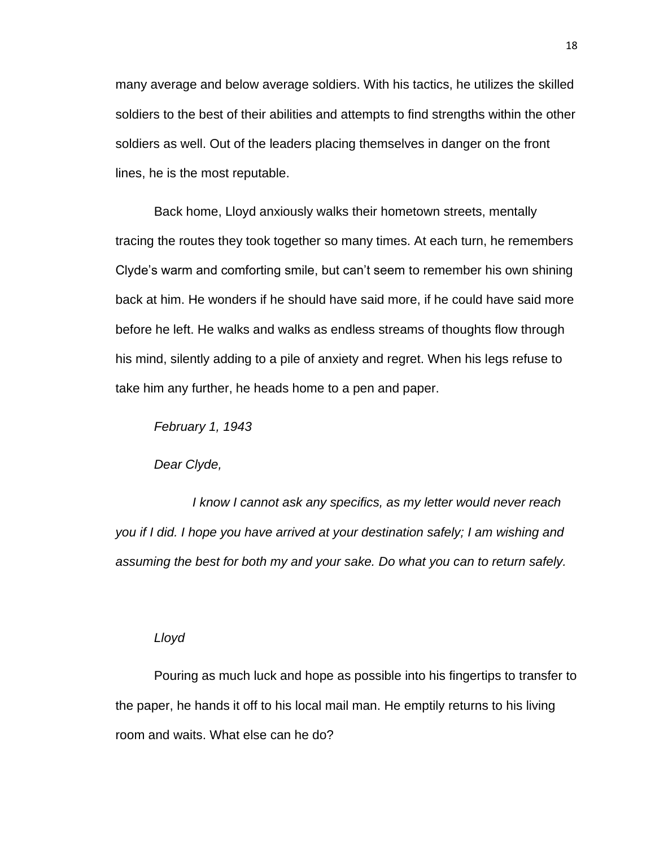many average and below average soldiers. With his tactics, he utilizes the skilled soldiers to the best of their abilities and attempts to find strengths within the other soldiers as well. Out of the leaders placing themselves in danger on the front lines, he is the most reputable.

Back home, Lloyd anxiously walks their hometown streets, mentally tracing the routes they took together so many times. At each turn, he remembers Clyde's warm and comforting smile, but can't seem to remember his own shining back at him. He wonders if he should have said more, if he could have said more before he left. He walks and walks as endless streams of thoughts flow through his mind, silently adding to a pile of anxiety and regret. When his legs refuse to take him any further, he heads home to a pen and paper.

*February 1, 1943*

*Dear Clyde,*

*I know I cannot ask any specifics, as my letter would never reach you if I did. I hope you have arrived at your destination safely; I am wishing and assuming the best for both my and your sake. Do what you can to return safely.*

# *Lloyd*

Pouring as much luck and hope as possible into his fingertips to transfer to the paper, he hands it off to his local mail man. He emptily returns to his living room and waits. What else can he do?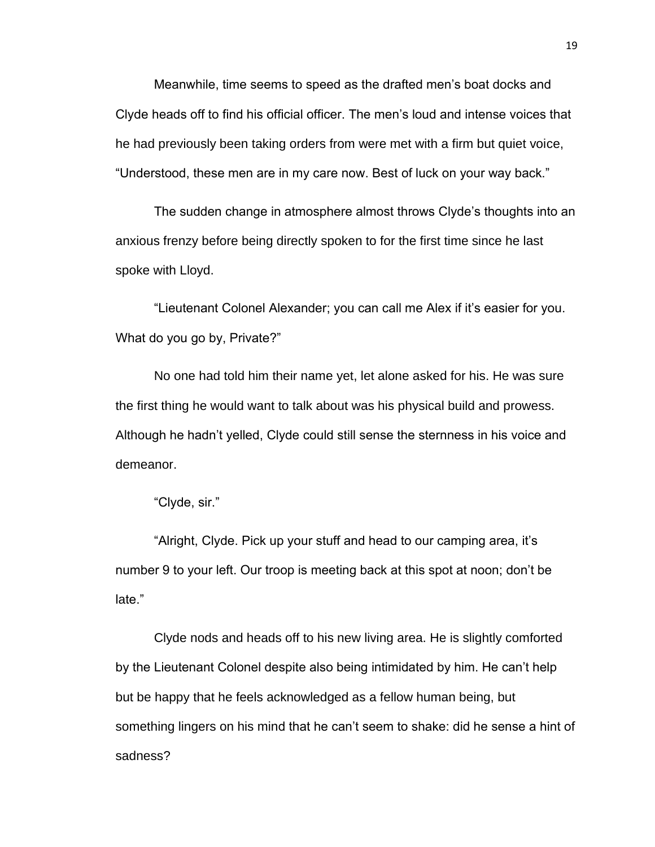Meanwhile, time seems to speed as the drafted men's boat docks and Clyde heads off to find his official officer. The men's loud and intense voices that he had previously been taking orders from were met with a firm but quiet voice, "Understood, these men are in my care now. Best of luck on your way back."

The sudden change in atmosphere almost throws Clyde's thoughts into an anxious frenzy before being directly spoken to for the first time since he last spoke with Lloyd.

"Lieutenant Colonel Alexander; you can call me Alex if it's easier for you. What do you go by, Private?"

No one had told him their name yet, let alone asked for his. He was sure the first thing he would want to talk about was his physical build and prowess. Although he hadn't yelled, Clyde could still sense the sternness in his voice and demeanor.

"Clyde, sir."

"Alright, Clyde. Pick up your stuff and head to our camping area, it's number 9 to your left. Our troop is meeting back at this spot at noon; don't be late."

Clyde nods and heads off to his new living area. He is slightly comforted by the Lieutenant Colonel despite also being intimidated by him. He can't help but be happy that he feels acknowledged as a fellow human being, but something lingers on his mind that he can't seem to shake: did he sense a hint of sadness?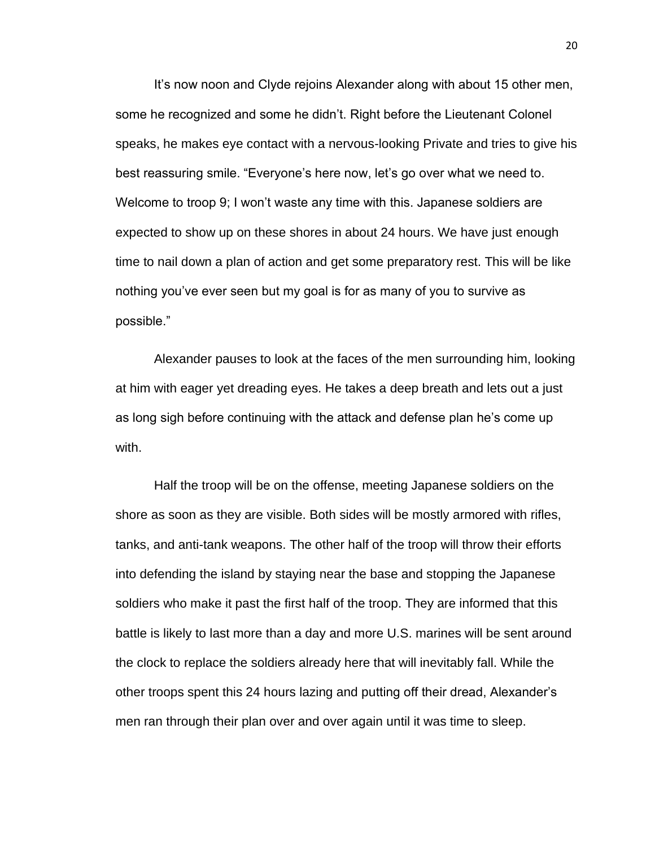It's now noon and Clyde rejoins Alexander along with about 15 other men, some he recognized and some he didn't. Right before the Lieutenant Colonel speaks, he makes eye contact with a nervous-looking Private and tries to give his best reassuring smile. "Everyone's here now, let's go over what we need to. Welcome to troop 9; I won't waste any time with this. Japanese soldiers are expected to show up on these shores in about 24 hours. We have just enough time to nail down a plan of action and get some preparatory rest. This will be like nothing you've ever seen but my goal is for as many of you to survive as possible."

Alexander pauses to look at the faces of the men surrounding him, looking at him with eager yet dreading eyes. He takes a deep breath and lets out a just as long sigh before continuing with the attack and defense plan he's come up with.

Half the troop will be on the offense, meeting Japanese soldiers on the shore as soon as they are visible. Both sides will be mostly armored with rifles, tanks, and anti-tank weapons. The other half of the troop will throw their efforts into defending the island by staying near the base and stopping the Japanese soldiers who make it past the first half of the troop. They are informed that this battle is likely to last more than a day and more U.S. marines will be sent around the clock to replace the soldiers already here that will inevitably fall. While the other troops spent this 24 hours lazing and putting off their dread, Alexander's men ran through their plan over and over again until it was time to sleep.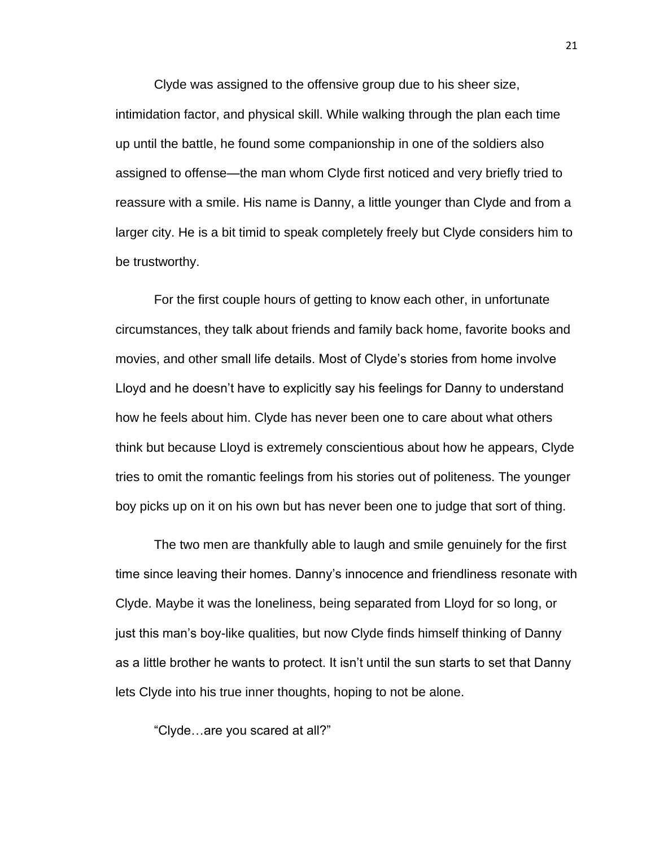Clyde was assigned to the offensive group due to his sheer size, intimidation factor, and physical skill. While walking through the plan each time up until the battle, he found some companionship in one of the soldiers also assigned to offense—the man whom Clyde first noticed and very briefly tried to reassure with a smile. His name is Danny, a little younger than Clyde and from a larger city. He is a bit timid to speak completely freely but Clyde considers him to be trustworthy.

For the first couple hours of getting to know each other, in unfortunate circumstances, they talk about friends and family back home, favorite books and movies, and other small life details. Most of Clyde's stories from home involve Lloyd and he doesn't have to explicitly say his feelings for Danny to understand how he feels about him. Clyde has never been one to care about what others think but because Lloyd is extremely conscientious about how he appears, Clyde tries to omit the romantic feelings from his stories out of politeness. The younger boy picks up on it on his own but has never been one to judge that sort of thing.

The two men are thankfully able to laugh and smile genuinely for the first time since leaving their homes. Danny's innocence and friendliness resonate with Clyde. Maybe it was the loneliness, being separated from Lloyd for so long, or just this man's boy-like qualities, but now Clyde finds himself thinking of Danny as a little brother he wants to protect. It isn't until the sun starts to set that Danny lets Clyde into his true inner thoughts, hoping to not be alone.

"Clyde…are you scared at all?"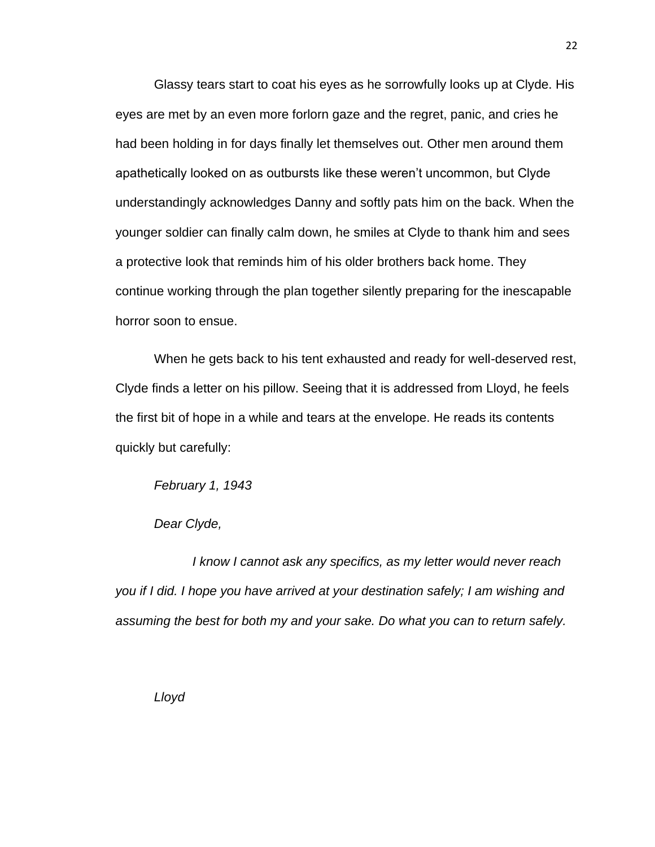Glassy tears start to coat his eyes as he sorrowfully looks up at Clyde. His eyes are met by an even more forlorn gaze and the regret, panic, and cries he had been holding in for days finally let themselves out. Other men around them apathetically looked on as outbursts like these weren't uncommon, but Clyde understandingly acknowledges Danny and softly pats him on the back. When the younger soldier can finally calm down, he smiles at Clyde to thank him and sees a protective look that reminds him of his older brothers back home. They continue working through the plan together silently preparing for the inescapable horror soon to ensue.

When he gets back to his tent exhausted and ready for well-deserved rest, Clyde finds a letter on his pillow. Seeing that it is addressed from Lloyd, he feels the first bit of hope in a while and tears at the envelope. He reads its contents quickly but carefully:

*February 1, 1943*

*Dear Clyde,*

*I know I cannot ask any specifics, as my letter would never reach you if I did. I hope you have arrived at your destination safely; I am wishing and assuming the best for both my and your sake. Do what you can to return safely.*

*Lloyd*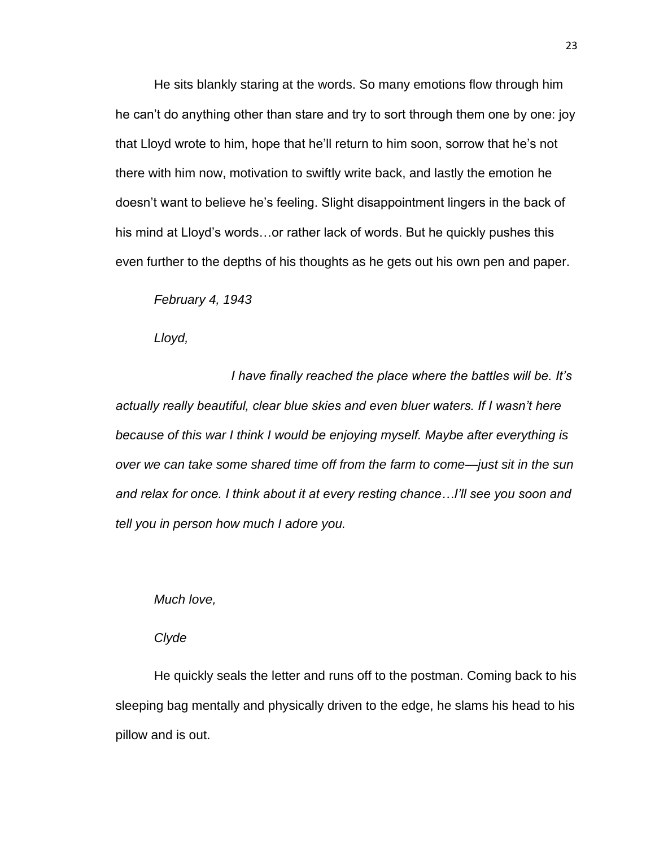He sits blankly staring at the words. So many emotions flow through him he can't do anything other than stare and try to sort through them one by one: joy that Lloyd wrote to him, hope that he'll return to him soon, sorrow that he's not there with him now, motivation to swiftly write back, and lastly the emotion he doesn't want to believe he's feeling. Slight disappointment lingers in the back of his mind at Lloyd's words…or rather lack of words. But he quickly pushes this even further to the depths of his thoughts as he gets out his own pen and paper.

*February 4, 1943*

*Lloyd,*

*I have finally reached the place where the battles will be. It's actually really beautiful, clear blue skies and even bluer waters. If I wasn't here because of this war I think I would be enjoying myself. Maybe after everything is over we can take some shared time off from the farm to come—just sit in the sun and relax for once. I think about it at every resting chance…I'll see you soon and tell you in person how much I adore you.*

*Much love,*

*Clyde*

He quickly seals the letter and runs off to the postman. Coming back to his sleeping bag mentally and physically driven to the edge, he slams his head to his pillow and is out.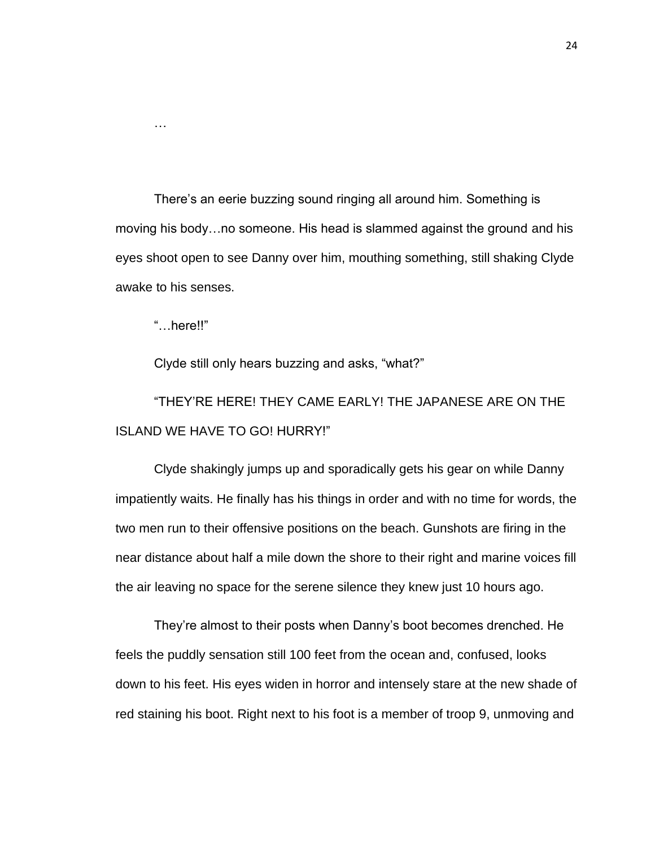There's an eerie buzzing sound ringing all around him. Something is moving his body…no someone. His head is slammed against the ground and his eyes shoot open to see Danny over him, mouthing something, still shaking Clyde awake to his senses.

"…here!!"

…

Clyde still only hears buzzing and asks, "what?"

"THEY'RE HERE! THEY CAME EARLY! THE JAPANESE ARE ON THE ISLAND WE HAVE TO GO! HURRY!"

Clyde shakingly jumps up and sporadically gets his gear on while Danny impatiently waits. He finally has his things in order and with no time for words, the two men run to their offensive positions on the beach. Gunshots are firing in the near distance about half a mile down the shore to their right and marine voices fill the air leaving no space for the serene silence they knew just 10 hours ago.

They're almost to their posts when Danny's boot becomes drenched. He feels the puddly sensation still 100 feet from the ocean and, confused, looks down to his feet. His eyes widen in horror and intensely stare at the new shade of red staining his boot. Right next to his foot is a member of troop 9, unmoving and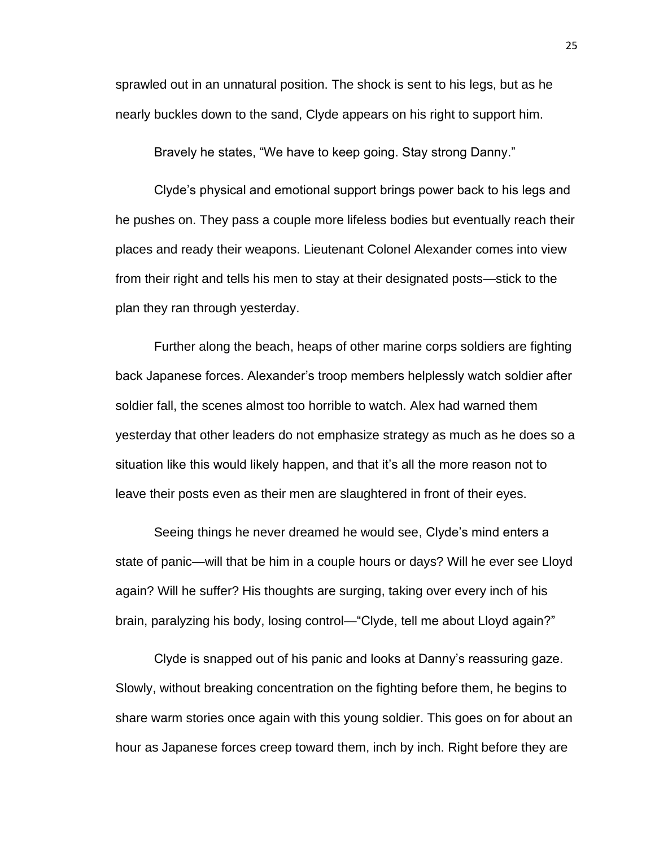sprawled out in an unnatural position. The shock is sent to his legs, but as he nearly buckles down to the sand, Clyde appears on his right to support him.

Bravely he states, "We have to keep going. Stay strong Danny."

Clyde's physical and emotional support brings power back to his legs and he pushes on. They pass a couple more lifeless bodies but eventually reach their places and ready their weapons. Lieutenant Colonel Alexander comes into view from their right and tells his men to stay at their designated posts—stick to the plan they ran through yesterday.

Further along the beach, heaps of other marine corps soldiers are fighting back Japanese forces. Alexander's troop members helplessly watch soldier after soldier fall, the scenes almost too horrible to watch. Alex had warned them yesterday that other leaders do not emphasize strategy as much as he does so a situation like this would likely happen, and that it's all the more reason not to leave their posts even as their men are slaughtered in front of their eyes.

Seeing things he never dreamed he would see, Clyde's mind enters a state of panic—will that be him in a couple hours or days? Will he ever see Lloyd again? Will he suffer? His thoughts are surging, taking over every inch of his brain, paralyzing his body, losing control—"Clyde, tell me about Lloyd again?"

Clyde is snapped out of his panic and looks at Danny's reassuring gaze. Slowly, without breaking concentration on the fighting before them, he begins to share warm stories once again with this young soldier. This goes on for about an hour as Japanese forces creep toward them, inch by inch. Right before they are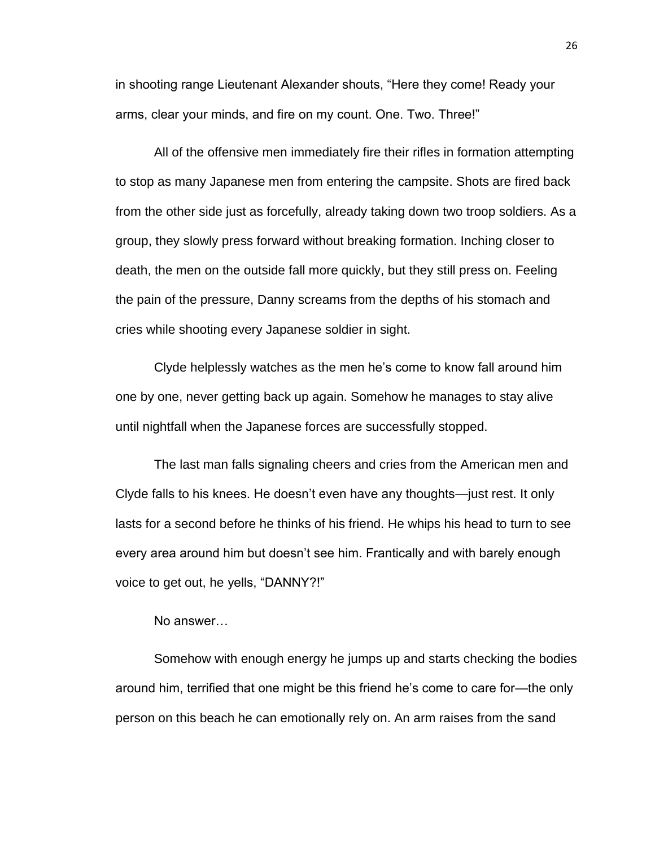in shooting range Lieutenant Alexander shouts, "Here they come! Ready your arms, clear your minds, and fire on my count. One. Two. Three!"

All of the offensive men immediately fire their rifles in formation attempting to stop as many Japanese men from entering the campsite. Shots are fired back from the other side just as forcefully, already taking down two troop soldiers. As a group, they slowly press forward without breaking formation. Inching closer to death, the men on the outside fall more quickly, but they still press on. Feeling the pain of the pressure, Danny screams from the depths of his stomach and cries while shooting every Japanese soldier in sight.

Clyde helplessly watches as the men he's come to know fall around him one by one, never getting back up again. Somehow he manages to stay alive until nightfall when the Japanese forces are successfully stopped.

The last man falls signaling cheers and cries from the American men and Clyde falls to his knees. He doesn't even have any thoughts—just rest. It only lasts for a second before he thinks of his friend. He whips his head to turn to see every area around him but doesn't see him. Frantically and with barely enough voice to get out, he yells, "DANNY?!"

#### No answer…

Somehow with enough energy he jumps up and starts checking the bodies around him, terrified that one might be this friend he's come to care for—the only person on this beach he can emotionally rely on. An arm raises from the sand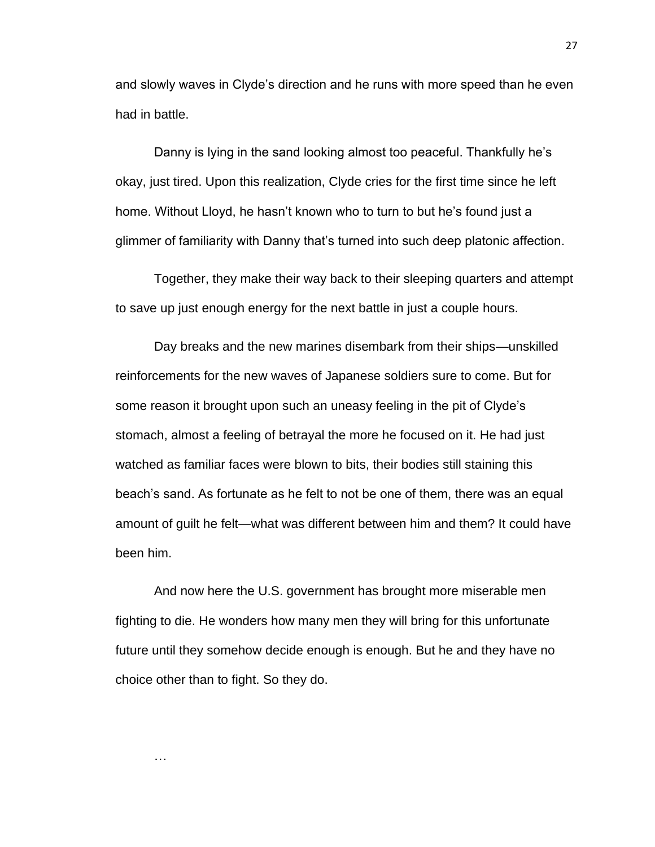and slowly waves in Clyde's direction and he runs with more speed than he even had in battle.

Danny is lying in the sand looking almost too peaceful. Thankfully he's okay, just tired. Upon this realization, Clyde cries for the first time since he left home. Without Lloyd, he hasn't known who to turn to but he's found just a glimmer of familiarity with Danny that's turned into such deep platonic affection.

Together, they make their way back to their sleeping quarters and attempt to save up just enough energy for the next battle in just a couple hours.

Day breaks and the new marines disembark from their ships—unskilled reinforcements for the new waves of Japanese soldiers sure to come. But for some reason it brought upon such an uneasy feeling in the pit of Clyde's stomach, almost a feeling of betrayal the more he focused on it. He had just watched as familiar faces were blown to bits, their bodies still staining this beach's sand. As fortunate as he felt to not be one of them, there was an equal amount of guilt he felt—what was different between him and them? It could have been him.

And now here the U.S. government has brought more miserable men fighting to die. He wonders how many men they will bring for this unfortunate future until they somehow decide enough is enough. But he and they have no choice other than to fight. So they do.

…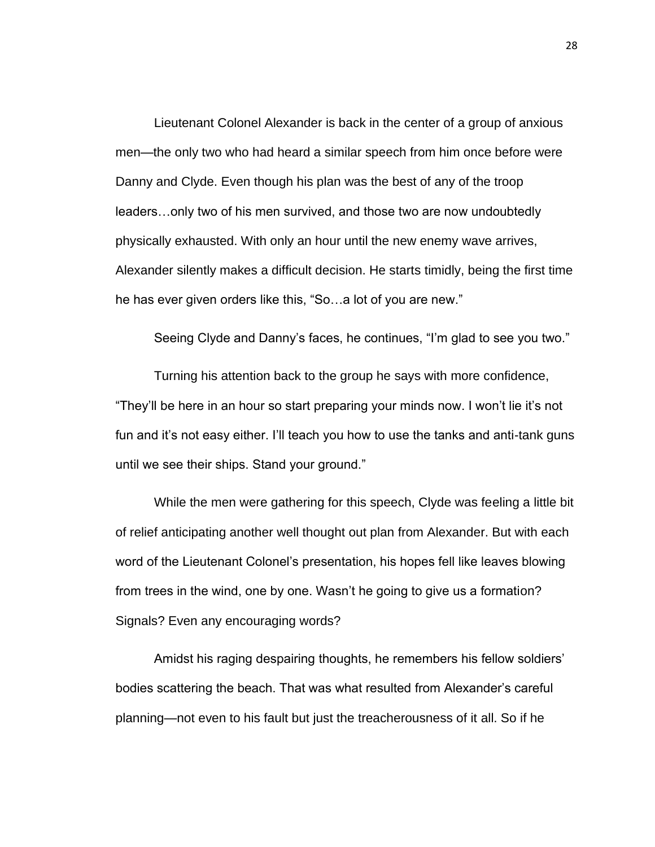Lieutenant Colonel Alexander is back in the center of a group of anxious men—the only two who had heard a similar speech from him once before were Danny and Clyde. Even though his plan was the best of any of the troop leaders…only two of his men survived, and those two are now undoubtedly physically exhausted. With only an hour until the new enemy wave arrives, Alexander silently makes a difficult decision. He starts timidly, being the first time he has ever given orders like this, "So…a lot of you are new."

Seeing Clyde and Danny's faces, he continues, "I'm glad to see you two."

Turning his attention back to the group he says with more confidence, "They'll be here in an hour so start preparing your minds now. I won't lie it's not fun and it's not easy either. I'll teach you how to use the tanks and anti-tank guns until we see their ships. Stand your ground."

While the men were gathering for this speech, Clyde was feeling a little bit of relief anticipating another well thought out plan from Alexander. But with each word of the Lieutenant Colonel's presentation, his hopes fell like leaves blowing from trees in the wind, one by one. Wasn't he going to give us a formation? Signals? Even any encouraging words?

Amidst his raging despairing thoughts, he remembers his fellow soldiers' bodies scattering the beach. That was what resulted from Alexander's careful planning—not even to his fault but just the treacherousness of it all. So if he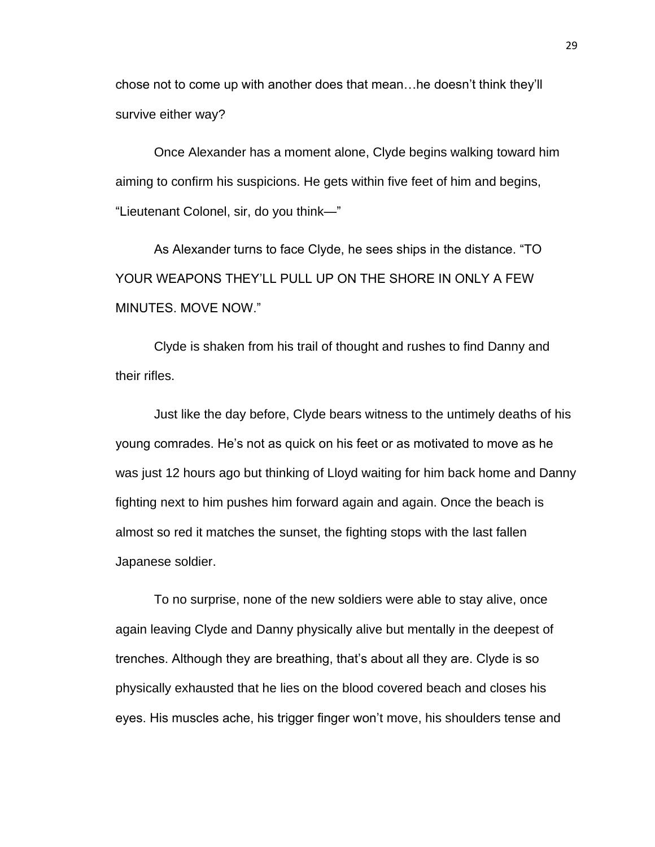chose not to come up with another does that mean…he doesn't think they'll survive either way?

Once Alexander has a moment alone, Clyde begins walking toward him aiming to confirm his suspicions. He gets within five feet of him and begins, "Lieutenant Colonel, sir, do you think—"

As Alexander turns to face Clyde, he sees ships in the distance. "TO YOUR WEAPONS THEY'LL PULL UP ON THE SHORE IN ONLY A FEW MINUTES. MOVE NOW."

Clyde is shaken from his trail of thought and rushes to find Danny and their rifles.

Just like the day before, Clyde bears witness to the untimely deaths of his young comrades. He's not as quick on his feet or as motivated to move as he was just 12 hours ago but thinking of Lloyd waiting for him back home and Danny fighting next to him pushes him forward again and again. Once the beach is almost so red it matches the sunset, the fighting stops with the last fallen Japanese soldier.

To no surprise, none of the new soldiers were able to stay alive, once again leaving Clyde and Danny physically alive but mentally in the deepest of trenches. Although they are breathing, that's about all they are. Clyde is so physically exhausted that he lies on the blood covered beach and closes his eyes. His muscles ache, his trigger finger won't move, his shoulders tense and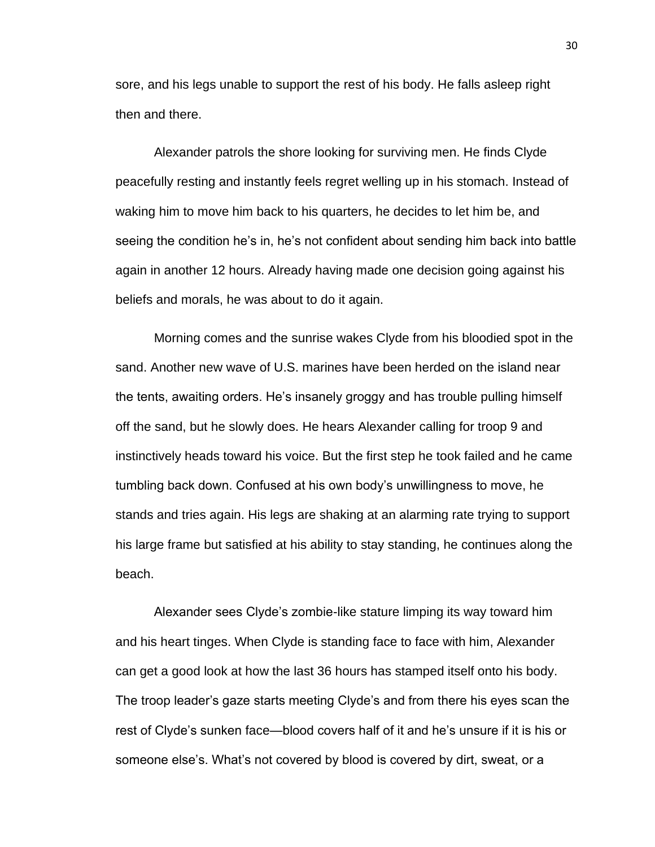sore, and his legs unable to support the rest of his body. He falls asleep right then and there.

Alexander patrols the shore looking for surviving men. He finds Clyde peacefully resting and instantly feels regret welling up in his stomach. Instead of waking him to move him back to his quarters, he decides to let him be, and seeing the condition he's in, he's not confident about sending him back into battle again in another 12 hours. Already having made one decision going against his beliefs and morals, he was about to do it again.

Morning comes and the sunrise wakes Clyde from his bloodied spot in the sand. Another new wave of U.S. marines have been herded on the island near the tents, awaiting orders. He's insanely groggy and has trouble pulling himself off the sand, but he slowly does. He hears Alexander calling for troop 9 and instinctively heads toward his voice. But the first step he took failed and he came tumbling back down. Confused at his own body's unwillingness to move, he stands and tries again. His legs are shaking at an alarming rate trying to support his large frame but satisfied at his ability to stay standing, he continues along the beach.

Alexander sees Clyde's zombie-like stature limping its way toward him and his heart tinges. When Clyde is standing face to face with him, Alexander can get a good look at how the last 36 hours has stamped itself onto his body. The troop leader's gaze starts meeting Clyde's and from there his eyes scan the rest of Clyde's sunken face—blood covers half of it and he's unsure if it is his or someone else's. What's not covered by blood is covered by dirt, sweat, or a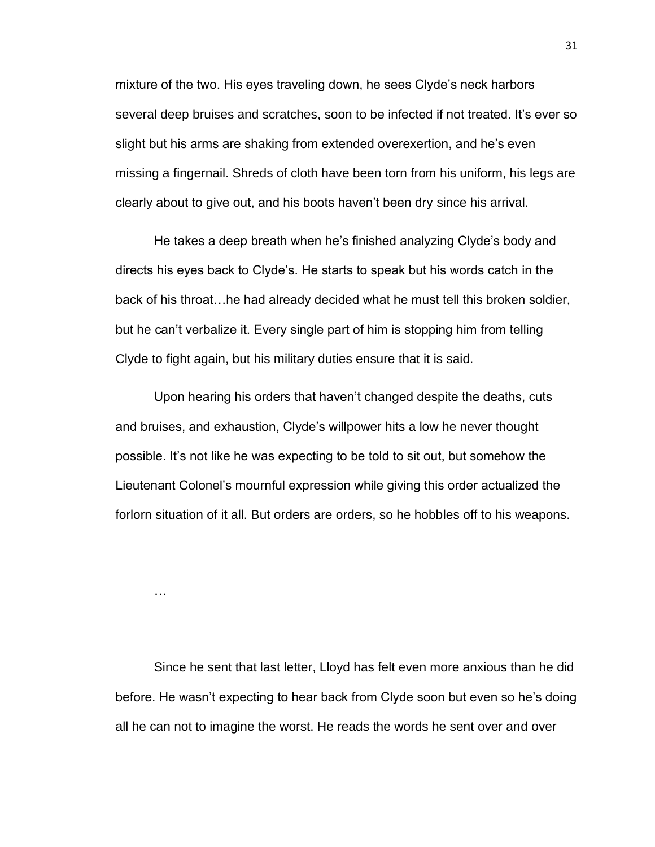mixture of the two. His eyes traveling down, he sees Clyde's neck harbors several deep bruises and scratches, soon to be infected if not treated. It's ever so slight but his arms are shaking from extended overexertion, and he's even missing a fingernail. Shreds of cloth have been torn from his uniform, his legs are clearly about to give out, and his boots haven't been dry since his arrival.

He takes a deep breath when he's finished analyzing Clyde's body and directs his eyes back to Clyde's. He starts to speak but his words catch in the back of his throat…he had already decided what he must tell this broken soldier, but he can't verbalize it. Every single part of him is stopping him from telling Clyde to fight again, but his military duties ensure that it is said.

Upon hearing his orders that haven't changed despite the deaths, cuts and bruises, and exhaustion, Clyde's willpower hits a low he never thought possible. It's not like he was expecting to be told to sit out, but somehow the Lieutenant Colonel's mournful expression while giving this order actualized the forlorn situation of it all. But orders are orders, so he hobbles off to his weapons.

…

Since he sent that last letter, Lloyd has felt even more anxious than he did before. He wasn't expecting to hear back from Clyde soon but even so he's doing all he can not to imagine the worst. He reads the words he sent over and over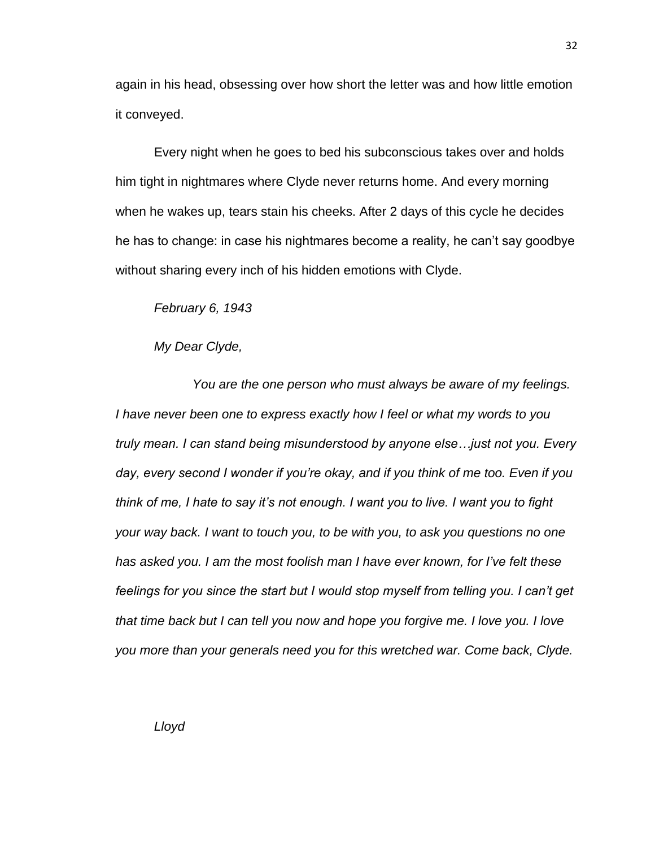again in his head, obsessing over how short the letter was and how little emotion it conveyed.

Every night when he goes to bed his subconscious takes over and holds him tight in nightmares where Clyde never returns home. And every morning when he wakes up, tears stain his cheeks. After 2 days of this cycle he decides he has to change: in case his nightmares become a reality, he can't say goodbye without sharing every inch of his hidden emotions with Clyde.

*February 6, 1943*

*My Dear Clyde,*

*You are the one person who must always be aware of my feelings. I have never been one to express exactly how I feel or what my words to you truly mean. I can stand being misunderstood by anyone else…just not you. Every day, every second I wonder if you're okay, and if you think of me too. Even if you think of me, I hate to say it's not enough. I want you to live. I want you to fight your way back. I want to touch you, to be with you, to ask you questions no one has asked you. I am the most foolish man I have ever known, for I've felt these feelings for you since the start but I would stop myself from telling you. I can't get that time back but I can tell you now and hope you forgive me. I love you. I love you more than your generals need you for this wretched war. Come back, Clyde.*

*Lloyd*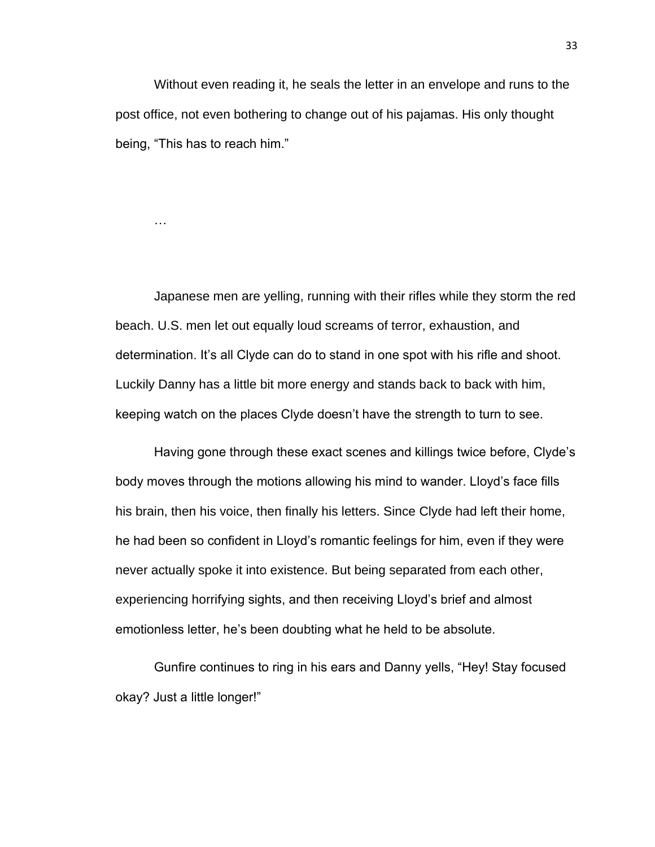Without even reading it, he seals the letter in an envelope and runs to the post office, not even bothering to change out of his pajamas. His only thought being, "This has to reach him."

…

Japanese men are yelling, running with their rifles while they storm the red beach. U.S. men let out equally loud screams of terror, exhaustion, and determination. It's all Clyde can do to stand in one spot with his rifle and shoot. Luckily Danny has a little bit more energy and stands back to back with him, keeping watch on the places Clyde doesn't have the strength to turn to see.

Having gone through these exact scenes and killings twice before, Clyde's body moves through the motions allowing his mind to wander. Lloyd's face fills his brain, then his voice, then finally his letters. Since Clyde had left their home, he had been so confident in Lloyd's romantic feelings for him, even if they were never actually spoke it into existence. But being separated from each other, experiencing horrifying sights, and then receiving Lloyd's brief and almost emotionless letter, he's been doubting what he held to be absolute.

Gunfire continues to ring in his ears and Danny yells, "Hey! Stay focused okay? Just a little longer!"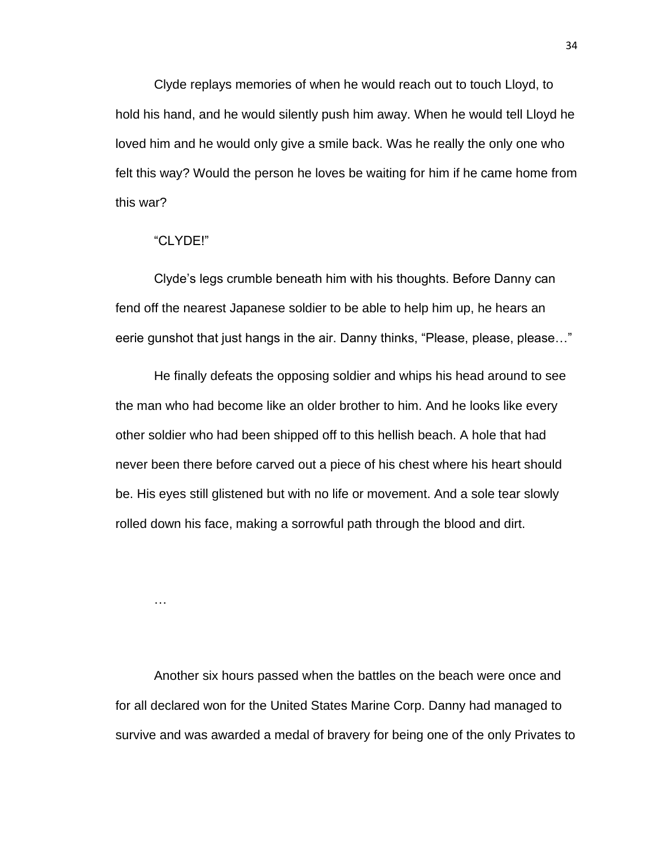Clyde replays memories of when he would reach out to touch Lloyd, to hold his hand, and he would silently push him away. When he would tell Lloyd he loved him and he would only give a smile back. Was he really the only one who felt this way? Would the person he loves be waiting for him if he came home from this war?

# "CLYDE!"

Clyde's legs crumble beneath him with his thoughts. Before Danny can fend off the nearest Japanese soldier to be able to help him up, he hears an eerie gunshot that just hangs in the air. Danny thinks, "Please, please, please…"

He finally defeats the opposing soldier and whips his head around to see the man who had become like an older brother to him. And he looks like every other soldier who had been shipped off to this hellish beach. A hole that had never been there before carved out a piece of his chest where his heart should be. His eyes still glistened but with no life or movement. And a sole tear slowly rolled down his face, making a sorrowful path through the blood and dirt.

…

Another six hours passed when the battles on the beach were once and for all declared won for the United States Marine Corp. Danny had managed to survive and was awarded a medal of bravery for being one of the only Privates to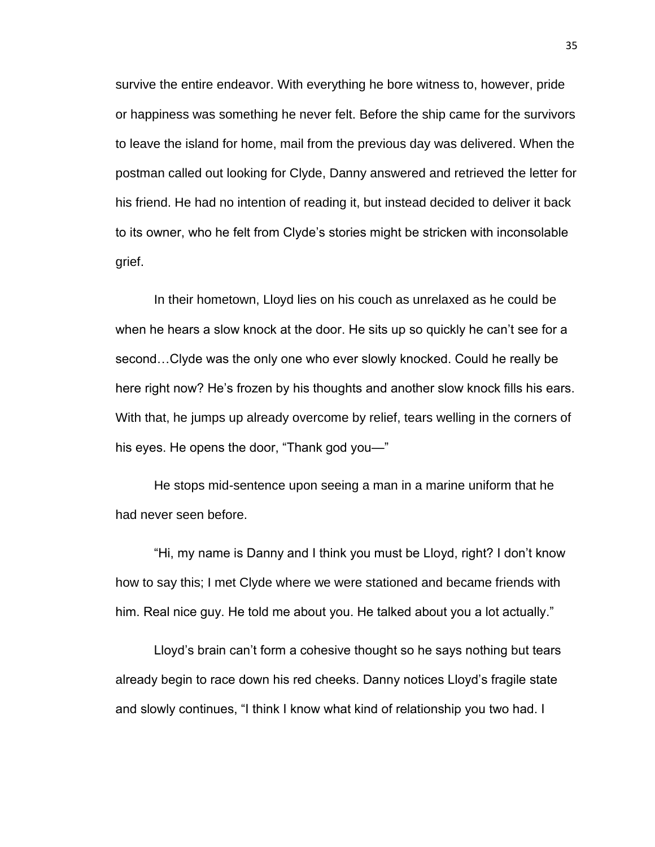survive the entire endeavor. With everything he bore witness to, however, pride or happiness was something he never felt. Before the ship came for the survivors to leave the island for home, mail from the previous day was delivered. When the postman called out looking for Clyde, Danny answered and retrieved the letter for his friend. He had no intention of reading it, but instead decided to deliver it back to its owner, who he felt from Clyde's stories might be stricken with inconsolable grief.

In their hometown, Lloyd lies on his couch as unrelaxed as he could be when he hears a slow knock at the door. He sits up so quickly he can't see for a second…Clyde was the only one who ever slowly knocked. Could he really be here right now? He's frozen by his thoughts and another slow knock fills his ears. With that, he jumps up already overcome by relief, tears welling in the corners of his eyes. He opens the door, "Thank god you—"

He stops mid-sentence upon seeing a man in a marine uniform that he had never seen before.

"Hi, my name is Danny and I think you must be Lloyd, right? I don't know how to say this; I met Clyde where we were stationed and became friends with him. Real nice guy. He told me about you. He talked about you a lot actually."

Lloyd's brain can't form a cohesive thought so he says nothing but tears already begin to race down his red cheeks. Danny notices Lloyd's fragile state and slowly continues, "I think I know what kind of relationship you two had. I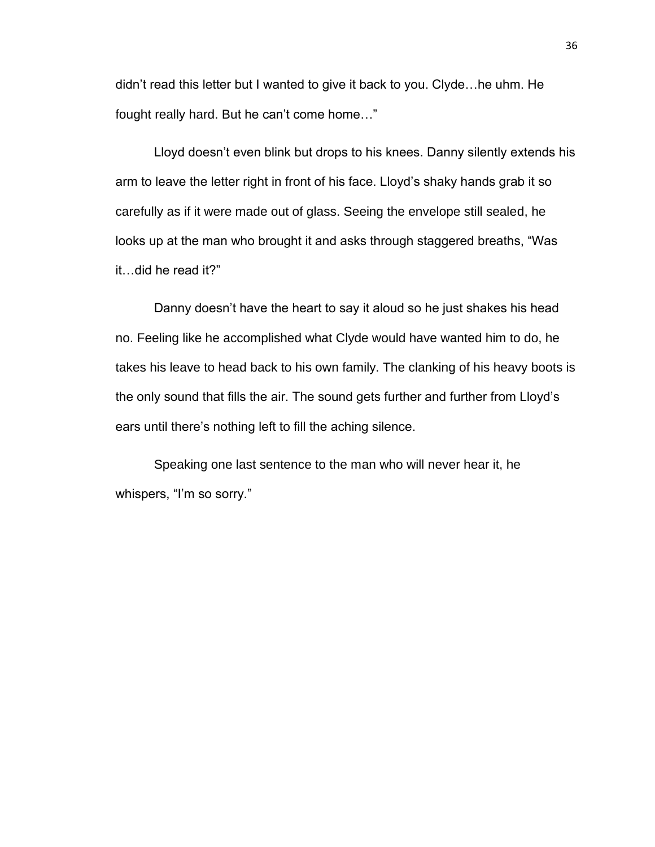didn't read this letter but I wanted to give it back to you. Clyde…he uhm. He fought really hard. But he can't come home…"

Lloyd doesn't even blink but drops to his knees. Danny silently extends his arm to leave the letter right in front of his face. Lloyd's shaky hands grab it so carefully as if it were made out of glass. Seeing the envelope still sealed, he looks up at the man who brought it and asks through staggered breaths, "Was it…did he read it?"

Danny doesn't have the heart to say it aloud so he just shakes his head no. Feeling like he accomplished what Clyde would have wanted him to do, he takes his leave to head back to his own family. The clanking of his heavy boots is the only sound that fills the air. The sound gets further and further from Lloyd's ears until there's nothing left to fill the aching silence.

Speaking one last sentence to the man who will never hear it, he whispers, "I'm so sorry."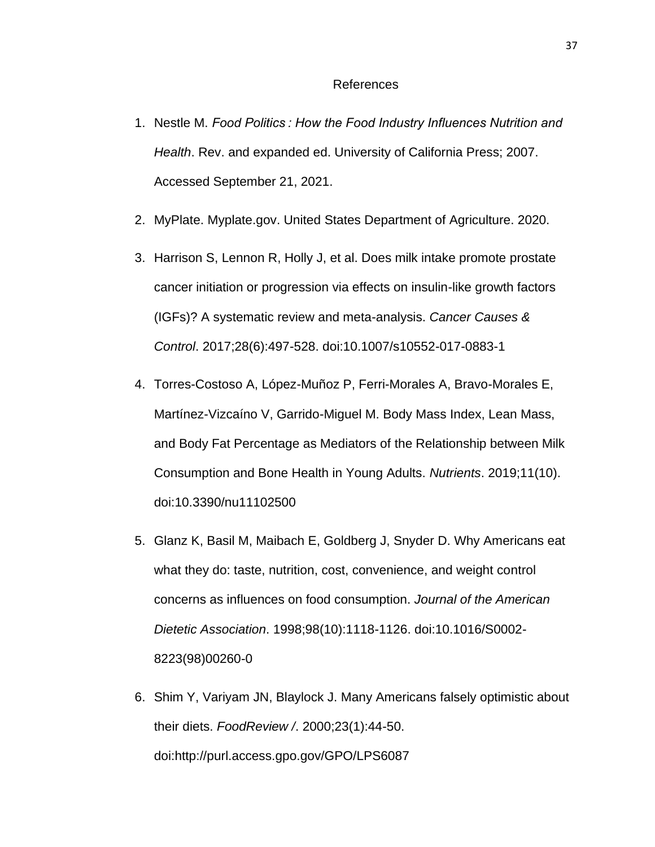#### References

- 1. Nestle M. *Food Politics : How the Food Industry Influences Nutrition and Health*. Rev. and expanded ed. University of California Press; 2007. Accessed September 21, 2021.
- 2. MyPlate. Myplate.gov. United States Department of Agriculture. 2020.
- 3. Harrison S, Lennon R, Holly J, et al. Does milk intake promote prostate cancer initiation or progression via effects on insulin-like growth factors (IGFs)? A systematic review and meta-analysis. *Cancer Causes & Control*. 2017;28(6):497-528. doi:10.1007/s10552-017-0883-1
- 4. Torres-Costoso A, López-Muñoz P, Ferri-Morales A, Bravo-Morales E, Martínez-Vizcaíno V, Garrido-Miguel M. Body Mass Index, Lean Mass, and Body Fat Percentage as Mediators of the Relationship between Milk Consumption and Bone Health in Young Adults. *Nutrients*. 2019;11(10). doi:10.3390/nu11102500
- 5. Glanz K, Basil M, Maibach E, Goldberg J, Snyder D. Why Americans eat what they do: taste, nutrition, cost, convenience, and weight control concerns as influences on food consumption. *Journal of the American Dietetic Association*. 1998;98(10):1118-1126. doi:10.1016/S0002- 8223(98)00260-0
- 6. Shim Y, Variyam JN, Blaylock J. Many Americans falsely optimistic about their diets. *FoodReview /*. 2000;23(1):44-50. doi:http://purl.access.gpo.gov/GPO/LPS6087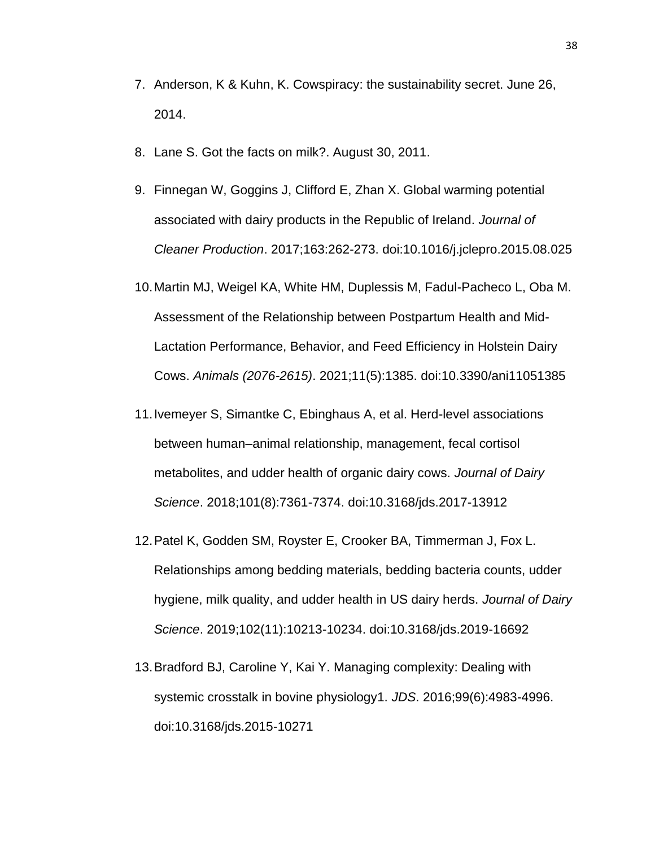- 7. Anderson, K & Kuhn, K. Cowspiracy: the sustainability secret. June 26, 2014.
- 8. Lane S. Got the facts on milk?. August 30, 2011.
- 9. Finnegan W, Goggins J, Clifford E, Zhan X. Global warming potential associated with dairy products in the Republic of Ireland. *Journal of Cleaner Production*. 2017;163:262-273. doi:10.1016/j.jclepro.2015.08.025
- 10.Martin MJ, Weigel KA, White HM, Duplessis M, Fadul-Pacheco L, Oba M. Assessment of the Relationship between Postpartum Health and Mid-Lactation Performance, Behavior, and Feed Efficiency in Holstein Dairy Cows. *Animals (2076-2615)*. 2021;11(5):1385. doi:10.3390/ani11051385
- 11.Ivemeyer S, Simantke C, Ebinghaus A, et al. Herd-level associations between human–animal relationship, management, fecal cortisol metabolites, and udder health of organic dairy cows. *Journal of Dairy Science*. 2018;101(8):7361-7374. doi:10.3168/jds.2017-13912
- 12.Patel K, Godden SM, Royster E, Crooker BA, Timmerman J, Fox L. Relationships among bedding materials, bedding bacteria counts, udder hygiene, milk quality, and udder health in US dairy herds. *Journal of Dairy Science*. 2019;102(11):10213-10234. doi:10.3168/jds.2019-16692
- 13.Bradford BJ, Caroline Y, Kai Y. Managing complexity: Dealing with systemic crosstalk in bovine physiology1. *JDS*. 2016;99(6):4983-4996. doi:10.3168/jds.2015-10271